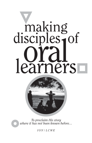# making<br>disciples<sub>10</sub>f learners





*To proclaim His story where it has not been known before…*

*ION / LCWE*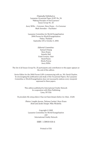*Originally Published as* Lausanne Occasional Paper (LOP) No. 54 "Making Disciples of Oral Learners" Issues Group No. 25

Avery Willis – Convener, Steve Evans – Co-Convener Mark Snowden – Facilitator

Lausanne Committee for World Evangelization 2004 Forum for World Evangelization Pattya, Thailand September 29 to October 5, 2004

> *Editorial Committee:* Samuel Chiang Steve Evans Annette Hall Grant Lovejoy, chair David Payne Sheila Ponraj Avery Willis

The list of all Issues Group No. 25 participants and contributors to this paper appears at the end of this edition.

Series Editor for the 2004 Forum LOPs (commencing with no. 30): David Claydon. In encouraging the publication and study of the Occasional Papers, the Lausanne Committee or World Evangelization does not necessarily endorse every viewpoint expressed in these papers.

> This edition published by International Orality Network In cooperation with Elim Publishing Lima, NY USA

*To proclaim His story where it has not been known before (re: Rom. 15:20)*

*Photos:* Langfia Ayeona, Taitiana Cardeal, Steve Evans *Book and Jacket Design:* Mike Mirabella

Copyright © 2005 Lausanne Committee for World Evangelization and International Orality Network

#### ISBN 1-59919-018-4

Printed in USA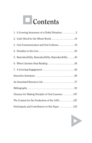### **Contents**

| 1. A Growing Awareness of a Global Situation 2          |
|---------------------------------------------------------|
| 2. God's Word for the Whole World10                     |
| 3. Oral Communicators and Oral Cultures18               |
|                                                         |
| 5. Reproducibility, Reproducibility, Reproducibility 40 |
| 6. When Literates Stop Reading 54                       |
|                                                         |
|                                                         |
| An Annotated Resource List 77                           |
|                                                         |
| Glossary for Making Disciples of Oral Learners. 107     |
| The Context for the Production of the LOPs127           |
| Participants and Contributors to this Paper 133         |

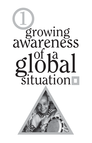### growing awareness<br>global situation **1**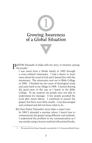#### **Growing Awareness of a Global Situation**

**1**

**PASTOR Dinanath of India tells his story of ministry among** his people:<sup>1</sup>

I was saved from a Hindu family in 1995 through a cross-cultural missionary. I had a desire to learn more about the word of God and I shared this with the missionary. The missionary sent me to Bible College in 1996. I finished my two years of theological study and came back to my village in 1998. I started sharing the good news in the way as I learnt in the Bible College. To my surprise my people were not able to understand my message. A few people accepted the Lord after much labour. I continued to preach the gospel, but there were little results. I was discouraged and confused and did not know what to do.

But then Pastor Dinanath's story takes a major turn: In 1999 I attended a seminar where I learnt how to communicate the gospel using different oral methods. I understood the problem in my communication as I was mostly using a lecture method with printed books,

<sup>1</sup> The account from Pastor Dinanath is provided by S. D. Ponraj and Sheila Ponraj.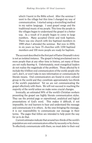which I learnt in the Bible school. After the seminar I went to the village but this time I changed my way of communication. I started using a storytelling method in my native language. I used gospel songs and the traditional music of my people. This time the people in the villages began to understand the gospel in a better way. As a result of it people began to come in large numbers. Many accepted Christ and took baptism. There was one church with few baptized members in 1999 when I attended the seminar. But now in 2004, in six years we have 75 churches with 1350 baptized members and 100 more people are ready for baptism.

The account described in the first part of Pastor Dinanath's story is not an isolated instance. The gospel is being proclaimed now to more people than at any other time in history, yet many of those are not really *hearing* it. Unfortunately, most evangelical leaders do not realize the magnitude of the problem. Those affected by it include the 4 billion oral communicators of the world: people who can't, don't, or won't take in new information or communicate by literate means. Oral communicators are found in every cultural group in the world and they constitute approximately two-thirds of the world's population! Yet we are not communicating the gospel effectively with them. We will not succeed in reaching the majority of the world unless we make some crucial changes.

Ironically, an estimated 90% of the world's Christian workers presenting the gospel use highly literate communication styles. They use the printed page or expositional, analytical and logical presentations of God's word. This makes it difficult, if not impossible, for oral learners to hear and understand the message and communicate it to others. As the ones bringing the message, it is our responsibility to communicate our message in their terms. The pages that follow are intended to help point the way for us to do that.

Current estimates indicate that around two-thirds of the world's population are oral communicators either by necessity or by choice. To effectively communicate with them, we must defer to their oral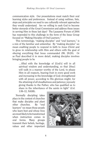communication style. Our presentations must match their oral learning styles and preferences. Instead of using outlines, lists, steps and principles we need to use culturally relevant approaches they would understand. Are we willing to seek God to become better stewards of the Great Commission and address these issues in serving Him in these last days? The Lausanne Forum of 2004 has responded to this challenge in the form of the Issue Group focused on "Making Disciples of Oral Learners."

This terminology, "making disciples" and "oral learners," is a mix of the familiar and unfamiliar. By "making disciples" we mean enabling people to respond in faith to Jesus Christ and to grow in relationship with Him and others with the goal of obeying everything that Jesus commanded (Mt. 28:20). Or as Paul described it in more detail, making disciples involves bringing people to be

…filled with the knowledge of [God's] will in all spiritual wisdom and understanding, so that [they] will walk in a manner worthy of the Lord, to please Him in all respects, bearing fruit in every good work and increasing in the knowledge of God; strengthened with all power, according to His glorious might, for the attaining of all steadfastness and patience; joyously giving thanks to the Father, who has qualified us to share in the inheritance of the saints in light" (Col. 1:9b-12, NASB).

Normally discipling takes place in the context of churches that make disciples and plant other churches. By "oral learners" we mean those people who learn best and whose lives are most likely to be transformed when instruction comes in oral forms. Many groups transmit their beliefs, heritage, values and other important

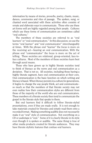information by means of stories, proverbs, poetry, chants, music, dances, ceremonies and rites of passage. The spoken, sung, or chanted word associated with these activities often consists of ornate and elaborate ways to communicate. Those who use these art forms well are highly regarded among their people. Cultures which use these forms of communication are sometimes called "oral cultures."

The members of these societies are referred to as "oral learners" or "oral communicators." In this discussion, we use the terms "oral learner" and "oral communicator" interchangeably at times. With the phrase oral "learner" the focus is more on the receiving act—hearing an oral communication. With the phrase oral "communicator" the focus is more on the act of telling. These societies are relational, group-oriented, face-toface cultures. Most of the members of these societies learn best through aural means.

Those who have grown up in highly literate societies tend to think of literacy as the norm and oral communication as a deviation. That is not so. All societies, including those having a highly literate segment, have oral communication at their core. Oral communication is the basic function on which writing and literacy is based. When literacy persists in a culture for generations, it begins to change the way people think, act and communicate– so much so that the members of that literate society may not even realize how their communication styles are different from those of the majority of the world who are oral communicators. These members of a literate society then tend to communicate the gospel in the literate style that speaks to them.

But oral learners find it difficult to follow literate-styled presentations, even if they are made orally. It is not enough to take materials created for literates and simply read them onto a recorded format. Making something audible does not necessarily make it an "oral" style of communication. Not everything on a CD or audiotape is "oral." Some of it is clearly literate in its style even though it is spoken or audible. The same thing is true of other media products created for literate audiences. They may have literate stylistic features that confuse oral learners.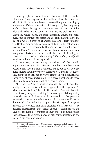Some people are oral learners because of their limited education. They may not read or write at all, or they may read with difficulty. Many oral learners can read but prefer learning by oral means. If their culture is traditionally oral, they frequently prefer to learn through oral methods even if they are highly educated. When many people in a culture are oral learners, it affects the whole culture and permeates many aspects of people's lives, such as thought processes and decision-making. Scholars call this whole cluster of characteristics and effects "orality." The Deaf community displays many of these traits that scholars associate with the term orality, though the Deaf cannot properly be called "oral."2 Likewise, there are literates who demonstrate many characteristics associated with the concept of orality, an effect referred to as "secondary orality." (*Secondary orality* will be addressed in detail in chapter six.)

In summary, approximately two-thirds of the world's population lives by orality. Many of them have no other choice because they have inadequate literacy skills, but others who are quite literate strongly prefer to learn via oral means. Together they comprise an oral majority who cannot or will not learn well through print-based instruction. This poses a challenge to those who want to communicate effectively with them.

After listening to a speaker discuss the challenge that orality poses, a ministry leader approached the speaker. "If what you say is true," he told the speaker, "we will have to rethink everything we are doing." He was right. Taking orality seriously can revolutionize ministries—and has the potential to greatly increase our effectiveness. But what should we do differently? The following chapters describe specific ways to improve effectiveness in making disciples of oral learners. They describe practical steps that various churches, organizations and agencies are taking. A number of them share a common vision that addresses the predominance of oral communicators in the world. That common vision is:

<sup>2</sup> Deaf with an upper case "D" by common practice refers to the people group or population segment, in contrast to lower case "deaf" referring to the physical characteristic.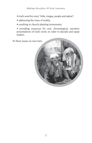- God's word for every "tribe, tongue, people and nation";
- addressing the issue of orality;
- resulting in church planting movements;
- providing resources for oral, chronological, narrative presentations of God's word, in order to disciple and equip leaders.

To these issues we now turn.

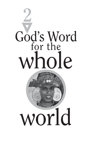### God's Word for the whole **2**

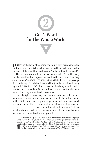#### **God's Word for the Whole World 2**

WHAT is the hope of reaching the four billion persons who are oral learners? What is the hope for getting God's word to the speakers of the four thousand languages still without His word?<sup>3</sup>

The answer comes from Jesus' own model: "…with many similar parables Jesus spoke the word to them, *as much as they could understand*" (Mk. 4:33 NIV, emphasis added). In fact, the passage goes on to say: "He did not say anything to them without using a parable" (Mk. 4:34a NIV). Jesus chose his teaching style to match his listeners' capacities. So should we. Jesus used familiar oral means that they understood. So can we.

One straightforward way to communicate to oral learners in a way they will understand is for them to hear the stories of the Bible in an oral, sequential pattern that they can absorb and remember. The communication of stories in this way has come to be referred to as "chronological Bible storying." It is a proclamation of God's word in a culturally relevant way that oral learners can understand and respond to.

<sup>3</sup> Statistics as of Sep. 30, 2004 from Wycliffe International indicate 4558 languages without any of the Bible, out of the 6913 languages currently spoken in the world (see *Ethnologue*, 15th ed.). Dec. 31, 2003 statistics from the United Bible Societies indicate only 2355 languages have some or all of the Bible. Of these, only 414 have an adequate Bible, 1068 have an adequate New Testament, and 873 have at least one book of the Bible (see http://www.biblesociety.org/latestnews/latest273-slr2003stats.html).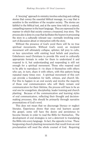A "storying" approach to ministry involves selecting and crafting stories that convey the essential biblical message, in a way that is sensitive to the worldview of the receptor society. The stories are faithful to the biblical text, and at the same time told in a natural, compelling manner in the heart language. They are expressed in the manner in which that society conveys a treasured, true story. The process also is done in a way that facilitates the hearers in processing the story in a culturally relevant way—normally involving some sort of discussion about or interaction with the story.

Without the presence of God's word there will be no true spiritual movements. Without God's word, an incipient movement will ultimately collapse, splinter, fall prey to cults, or face syncretism with existing local beliefs and practices. Unbelievers need Christians to provide His word in culturally appropriate formats in order for them to understand it and respond to it, but understanding and responding is still not enough for a spiritual movement. Those who respond need to be able to reproduce it—to share it themselves with others who can, in turn, share it with others, with this pattern being repeated many times over. A spiritual movement of this sort can provide a foundation for faith, witness, and church life. For this to happen in an oral society and involve the majority of those oral communicators who will likely remain oral communicators for their lifetime, the process will have to be an oral one for evangelism, discipleship, leader training and church planting. Because of the communication and learning styles of oral communicators, reflecting their thought and decisionmaking processes, this should be primarily through narrative presentations of God's word.

This does not mean that we discourage literacy or neglect literates. Experience shows that once oral learners accept the gospel, some will have the desire and persistence to become literate in order to read the Bible for themselves. The development of oral strategies is not a deterrent to translating the Bible into every language. In fact, the opposite is true. These burgeoning church planting movements that result from an oral proclamation will need the whole counsel of God. Requiring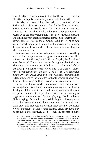non-Christians to learn to read just so that they can consider the Christian faith puts unnecessary obstacles in their path.

We wish all peoples had the written translation of the Scripture in their heart language. But, for the illiterate, written Scripture is not accessible even if it is available in their own language. On the other hand, a Bible translation program that begins with the oral presentation of the Bible through storying and continues with a translation and literacy program is the most comprehensive strategy for communicating the word of God in their heart language. It offers a viable possibility of making disciples of oral learners while at the same time providing the whole counsel of God.

We do not want our call for oral approaches to be seen as setting oral and literate approaches in opposition to one another. It is not a matter of "either-or," but "both-and." Again, the Bible itself gives the model. There are examples throughout the Scriptures where both the written word of God and the spoken word of God are given prominence, often side by side. For example, Moses wrote down the words of the Law (Deut. 31-33). God instructed him to write the words down in a song. God also instructed him to teach the song to the Israelites so that they would always have it in their hearts and on their lips and always remember it.

Similarly in today's world, we envision a systemic approach to evangelism, discipleship, church planting and leadership development that can involve oral, audio, audio-visual media and print. A systemic, sequential approach with a society of largely oral communicators, for example, might begin with oral Bible storying. It could then possibly begin to involve audio and radio presentations of these same oral stories and other audio and radio products of a broader array based on translated biblical material.4 In some cases primary visual products may be produced and effectively used.<sup>5</sup> Then the process in some

Examples of some of these sorts of audio and radio presentations in vernacular languages include Global Recordings Network's various Scripture resources; the *JESUS Film* audio versions; *Lives of the Prophets*, *Life of Jesus* and *Lives of the Apostles* audio versions; Faith Comes by Hearing dramatized recordings of the New Testament; and the Radio Bible, which consists of 365 fifteen-minute broadcasts of stories from the Old and New Testaments. These are described in the Resources section.

<sup>5</sup> Examples of primary visual products can include print illustrations and booklets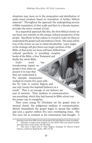situations may move on to the preparation and distribution of audio-visual products based on translation of further biblical material.<sup>6</sup> Throughout the approach the undergirding process of Bible translation, at first orally and then in a literate manner, provides the entire counsel of God.

In a sequential approach like this, the first biblical stories we use focus very intently on the unique cultural perspective of the people. Specificity to that culture is crucial in order for them to understand the gospel well and embrace Christ. The same will be true of the stories we use in initial discipleship. Later stages in the strategy will give them ever-larger portions of the Bible; at that point our focus will have shifted from cultural specificity to providing complete books of the Bible, a New Testament and finally the whole Bible.

God's word has transforming impact on people's lives when we present it in ways that they can understand it. For example, missionaries worked for twenty-five years with the Tiv tribe in central Nigeria and saw only twenty-five baptized believers as a result.7 That is an average of one believer per year of ministry. Their medium of communication was preaching, which they had learned in Bible school was the proper way to evangelize.

Then some young Tiv Christians set the gospel story to musical chants, the indigenous medium of communication. Almost immediately the gospel began to spread like wildfire and soon a quarter million Tivs were worshipping Jesus. The Tivs were not as resistant as the missionaries had thought. A

depicting scenes from Bible stories and products like Deaf Missions visual recordings.

<sup>6</sup> Examples of audio-visual products are the *JESUS Film* and related Genesis and Luke videos; *God's Story;* and *The Hope*.

<sup>7</sup> This story is taken from C. Peter Wagner, *Strategies for Church Growth* (Ventura, California: Regal Books, 1987), 91-92.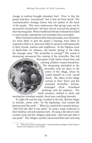change in method brought abundant fruit. Prior to this the gospel had been "proclaimed," but it had not been heard! The communication strategy chosen had not spoken to the heart of the people. This story underscores that groups may not be necessarily unresponsive, but have not yet received the gospel in their learning style. Where traditional literate methods have failed to reach people, appropriate oral strategies have succeeded.

When Christian workers follow these principles, non-Christians are more likely to give the gospel a hearing, more likely to respond in faith to it, and more likely to spread it enthusiastically to their friends, relatives and neighbours. In the Togolese town of Kpele-Dafo, for instance, the hamlet sprang to life when the message came: "The storyteller is coming!"8 The sound of drumming announced the coming of the storyteller. Men left



their game of *adí,* tailors closed shop, and yawning children roused themselves. The drumming intensified as the storyteller took his place in the center of the village, where he seated himself on a low, carved bench. The elders of the village arrived in their finery and the animated storyteller, Antoine, exchanged ritual, formalized greetings with his audience. The fetish priestess, clothed in white and

wearing her horsehair amulet, stood near, watching intensely.

As night fell and the logs crackled in the fire, Antoine began in melodic, poetic style: "*In the beginning, God created the heavens and the earth...*" When he reached the repeated phrase, "*And God saw that it was good*," he sang a song composed in their familiar call and response style. He sang a line about God's creative work and the villagers sang back, "*And God saw that it was good*." The villagers quickly memorized their part and sang

<sup>8</sup> This story is from Carla Bowman*, Communications Bridges to Oral Cultures* (Tucson AZ, Scriptures In Use, 2004).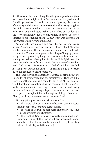it enthusiastically. Before long, the villagers began dancing too, to express their delight at this God who created a good world. The village headman joined in the dance, signaling his approval of the story and the event. Antoine continued his story long into the night, accompanied by the sound of drumming and joined in his song by the villagers. When the fire had burned low and the story-song finally ended, no one wanted to leave. The whole experience had engulfed them. A new truth was dawning and their world would never be the same.

Antoine returned many times over the next several weeks, bringing story after story in this way—stories about Abraham and his sons, about the other prophets, about Jesus and God's community. These stories spoke to the villagers' longings, needs and practices, prompting long conversations with Antoine and among themselves. Gently but firmly the Holy Spirit used the stories to do his transforming work. In time extended families made God's story their own story, the God of the Bible their God. A fetish priest burned his amulets, talismans and jujus because he no longer needed their protection.

The same storytelling approach was used to bring about the surrender of strongholds and for discipleship. Through Bible storytelling the word of God came to life in the African context. The biblical stories continued as the people of Kpele-Dafo grew in their newfound faith, meeting in house churches and taking this message to neighboring villages. The same process has now taken place throughout the Volta region of Togo, Benin, and Ghana, resulting in a movement of people to Christ.

Five key principles were at work at Kpele-Dafo.

- The word of God is more effectively communicated through appropriate cultural relationships.
- The word of God will be best heard and understood when we use appropriate oral strategies.

• The word of God is most effectively proclaimed when worldview issues of the unreached are addressed; stories and other cultural forms do this more effectively by inviting listeners to identify with the message.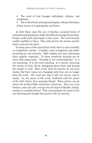The word of God changes individuals, cultures, and worldviews.

• The word of God can be passed along by ordinary Christians if they receive it in appropriate oral forms.

In both these cases the use of familiar, accepted forms of communicating helped to make the biblical message less foreign. People could easily participate in the event. The word became readily available to them. They entered into the stories and the stories entered into them.

In many parts of the unreached world, there is open hostility to evangelistic activity. Crusades, mass evangelism and public preaching are not welcome. Bible studies and open witnessing draw negative responses. In these situations storying can be more fully appreciated. Storying is not confrontational. It is not preaching. It is not overt teaching. It is merely conveying the stories of God's Word, dialoguing about them and leaving the results to God! Most of the time the hearers do not even realize that their values are changing until they can no longer deny the truth. His word says that it will not return void or empty. So, the power of His word, combined with the power of the Holy Spirit, does amazing things! These stories can go where the printed Bible sometimes cannot go. They can cross borders, enter jail cells, even go into the heart of Muslim, Hindu, animist or socialist homes! They can penetrate the heart of the one listening and change that person's life for eternity.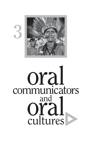## **3**



### oral communicators oral cultures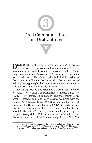#### **Oral Communicators and Oral Cultures**

**3**

DEVELOPING proficiency in using oral strategies involves several tasks. Literates who want to communicate effectively in oral cultures need to learn about the issue of orality. Walter Ong's book, *Orality and Literacy* (1982) is a respected academic work on the topic. He offers lengthy, technical discussions of the nature of orality and the impact that the development of writing, then typography, had on oral communication and oral cultures. His approach is largely historical.

Another approach to understanding the extent and influence of orality is to consider it in relationship to literacy skills. The reality of low literacy skills even in developed countries has become apparent from a series of surveys, beginning with the National Adult Literacy Survey (NALS) administered by the U. S. Department of Education in the early 1990s.<sup>9</sup> Researchers found that 48 to 51% of adults in the United States scored at the two lowest levels (out of five levels) of measurable proficiency at a range of literacy skills. While results of the NALS study showed that only 4 to 6% of U. S. adults were totally illiterate, 46 to 53%

<sup>9</sup> Irwin S. Kirsch, Ann Jungeblut, Lynn Jenkins and Andrew Kolstad*. A First Look at the Findings of the National Adult Literacy Survey*, 3d ed. (Washington: U. S. Department of Education, Office of Educational Research and Improvement, 2002).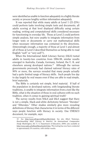were identified as unable to function adequately in a highly literate society or process lengthy written information adequately.

It was reported that while many adults at Level 1 (21-23%) could perform tasks involving simple texts and documents, all adults scoring at that level displayed difficulty using certain reading, writing and computational skills considered necessary for functioning in everyday life. Those at Level 2 could perform simple analysis, but were unable to integrate information from longer texts or documents or carry out mathematical skills when necessary information was contained in the directions. (Interestingly enough, a majority of those at Level 1 and almost all of those at Level 2 described themselves as being able to read English "well" or "very well"!).

When the International Adult Literacy Survey (IALS) tested adults in twenty-two countries from 1994-98, similar results emerged in Australia, Canada, Germany, Ireland, the U. K. and elsewhere among developed nations.<sup>10</sup> Although the various governments previously had claimed national literacy rates of 90% or more, the surveys revealed that many people actually had a quite limited range of literacy skills. Such people live day to day largely by oral means even if they are able to read simple, brief materials.

The Bible is certainly not simple, brief material. If half of the population in developed nations, with longstanding literate traditions, is unable to integrate information from a text like the Bible, what is the situation of those in oral cultures with no such tradition, when it comes to gaining spiritual truth?

The survey results from NALS and IALS suggest that there is not a simple, black-and-white dichotomy between "literates" and "illiterates." Other studies similarly give more revealing definitions of literacy that characterize it in terms of the different ways people function with literacy in society. One UNESCO document, for example, says:

<sup>10</sup> See http://www.nifl.gov/nifl/facts/IALS.html. See also Albert Tuijnman, *Benchmarking Adult Literacy in America: An International Comparative Study* (Washington, DC: U. S. Department of Education, 2000); also available at http://www.nald.ca/fulltext/Benchmrk/2.htm. This testing has now been conducted in approximately 30 countries, with similar results.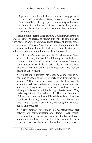A person is functionally literate who can engage in all those activities in which literacy is required for effective function of his or her group and community and also for enabling him or her to continue to use reading, writing and calculation for his or her own and the community's development.<sup>11</sup>

It is helpful for literate cross-cultural Christian workers to be aware of different degrees of literacy if they are to communicate with people in appropriate ways. These degrees of literacy reflect a continuum. One categorization of salient points along this continuum is that of James B. Slack, which describes five levels of literacy to be considered in presenting the gospel:

• "Illiterates" cannot read or write. They have never "seen" a word. In fact, the word for illiteracy in the Indonesia language is *buta huruf*, meaning "blind to letters." For oral communicators, words do not exist as letters, but as sounds related to images of events and to situations that they are seeing or experiencing.

• "Functional illiterates" have been to school but do not continue to read and write regularly after dropping out of school. Within two years, even those who have gone to school for eight years often can read only simple sentences and can no longer receive, recall or reproduce concepts, ideas, precepts, and principles through literate means. They prefer to get their information orally. Their *functional* level of illiteracy (as opposed to published data) determines how they learn, how they develop their values and beliefs, and how they pass along their culture, including their religious beliefs and practices.

• "Semi-literates" function in a gray transitional area between oral communication and literacy. Even though these individuals have normally gone to school up to 10 years and are classified in every country of the world as literates, they learn primarily by means of narrative presentations.

<sup>11</sup> http://www.uis.unesco.org/ev.php?ID=5014\_201&ID2=DO\_TOPIC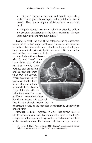• "Literate" learners understand and handle information such as ideas, precepts, concepts, and principles by literate means. They tend to rely on printed material as an aid to recall.

• "Highly literate" learners usually have attended college and are often professionals in the liberal arts fields. They are thoroughly print-culture individuals.12

Trying to reach the first three categories using customary means presents two major problems: Almost all missionaries and other Christian workers are literate or highly literate, and they communicate primarily by literate means. So they use the method they have mastered to try to

communicate with oral learners who do not "hear" them. They think that if they can just simplify their outlines and exposition oral learners can grasp what they are saying. When missionaries try to reach illiterates, they believe that one of their primary tasks is to train a corps of literate nationals (who then face the same problems communicating). For these reasons it is essential that literate church leaders seek to



understand orality as the first step in ministering effectively in oral cultures.

Although UNESCO reported in 2003 that almost 80% of adults worldwide can read, that statement is open to challenge. It depends on literacy statistics provided by each member nation of the United Nations. Furthermore, it allows every country's

<sup>12</sup> James B. Slack, "Chronological Bible Storying" unpublished document available at http:///www.chronologicalbiblestorying.com/manuals.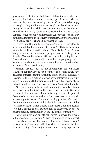government to decide for itself how to determine who is literate. Malaysia, for instance, counts anyone age 10 or over who has ever enrolled in school as being literate. Other countries simply ask people if they are literate; many people say that they are, even though their reading skills may be too limited to handle text from the Bible. Many people who can write their name and read a simple sentence qualify as literate for census purposes, but they cannot read unfamiliar or lengthy materials with understanding. Their values are not changed by what they read.

In assessing the orality of a people group, it is important to keep in mind that literacy rates often vary greatly from one group to another within a single nation. Minority language groups, many of whom are unreached peoples, are less likely to be literate. Many of them have little interest in becoming literate. Those who intend to work with unreached people groups would be wise to be skeptical of governmental literacy statistics when it comes to functional literacy.

Missions groups such as the International Mission Board (Southern Baptist Convention), Scriptures In Use and others have developed materials on understanding orality and oral cultures. A selection of these is available at www.chronologicalbiblestorying. com. The annotated bibliography included with this document also suggests a wide array of resources for learning more about orality.

After developing a basic understanding of orality, literate missionaries and ministers then need to learn effective oral communication styles which are culturally relevant. In general, there is a cluster of features that oral learners have in common in processing information. They most readily process information that is concrete and sequential, and which is presented in a highly relational context. Other aspects of an effective communication style for a particular oral culture may be discovered by careful observation and participation in the life of the community.

Using culturally appropriate oral forms improves the impact of the message. Oral learners "enter" the story and as they absorb sensory data they live the story in the present tense—seeing, hearing, tasting, smelling and feeling what the persons in the story are experiencing. They hang reality on these sensory experiences.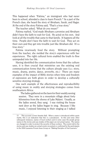This happened when "Fatima," an immigrant who had never been to school, attended a class to learn French.<sup>13</sup> As a part of the French class, she heard the story of Abraham, Sarah, and Hagar. At the end of the story Fatima said, "That's a true story."

The teacher asked, "What do you mean?"

Fatima replied, "God made Abraham a promise and Abraham didn't have the faith to wait for God. He acted on his own. And look at all the trouble that came to that family. It happens all the time. People don't have the faith to wait for God. They act on their own and they get into trouble just like Abraham did. It's a true story."

Fatima vicariously lived the story. Without prompting from the teacher, she melded the story's experiences with her experiences. The right cultural form enabled the truth to flow unimpeded into her life.

Having identified the communication forms that the culture uses, it is then crucial that ministries use the existing oral communication forms that the culture already uses (i.e.: story, music, drama, poetry, dance, proverbs, etc.) There are many examples of the impact of Bible stories when time and freedom of expression are both given in order to develop a culturally sensitive storying strategy.

One such example of the effectiveness and reproducibility of using music in orality and storying strategies comes from southeastern Africa:

The ladies gathered on the lawn for their weekly sewing session. They were in a mountain village about forty kilometres from the shores of Lake Malawi. Usually, as the ladies sewed, they sang. I was visiting the house next door as the ladies began to sing. Because I like music, I enjoyed listening to their singing as I talked

<sup>13</sup> This account is from Annette Hall. When a name is introduced within quote marks, this is an indication that this is a pseudonym. In this and some other subsequent instances, names of local workers and in some cases the people group names in the stories and case studies of this paper are not actual names. The names are changed in order to protect the security of these workers. The events told in the stories and case studies are actual events recounted or confirmed by the participants in the 2004 Lausanne Forum Issue Group on "Making Disciples of Oral Learners."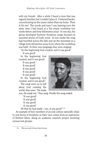with my friends. After a while I heard a tune that was vaguely familiar, but I couldn't place it. I listened harder, concentrating on the music rather than my hosts. Then it hit me! The words and tune I was hearing were the same ones I had heard at a Yao music workshop two weeks before and forty kilometres away! In one day, the group developed fourteen Scripture songs focused on essential stories of God's word. In two weeks the song had travelled across the lake and up the mountain to a village forty kilometres away from where the workshop was held! In their own language they were singing:

"In the beginning God created, and it was good!

It was good!

In the beginning God created, and it was good!

It was good!

It was good!

- It was good!
- It was good!
- It was good!

In the beginning God created, and it was good!"

The song went on to tell about God creating the world, then man. "He made



you, He made me," they sang. Finally the song ended:

"It was good!

- It was good!
- It was good!
- It was good!

All that he had made—yes, it was good!" <sup>14</sup>

An example of how members of an oral culture naturally relate to oral forms of Scripture as their own comes from an experience of Herbert Klem, doing an academic research project involving various test groups:

<sup>14</sup> This account is from Steve Evans.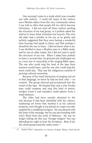One evening I came to a study which was crowded out with visitors. I could tell many of the visitors were Muslim elders from the very community where I was told so often that people felt too old to become Christians. I did not want all those visitors spoiling the structure of my test group, so I politely asked the visitors to leave these Christian test lessons. The wise old elder had a twinkle in his eye as he gently and politely suggested that they were having a wonderful time hearing God speak to them, and that perhaps I should be the one to leave. I did not know what to do. I was thrilled to have a Muslim man in a Bible study, and he was an elder leader, but I did not want to spoil the structure of my test. When I asked him politely to leave a second time, he grinned and challenged me to a true test of ownership of the singing Bible tapes. The one who could sing the least of the tape from memory would leave, and the one who could sing the most could stay. That was the indigenous method of proving cultural ownership.

 Because of the tonal intricacies of singing oral art in that language, he knew he had me beat cold — no contest! The group cheered and proclaimed him the owner of the tape. He boasted that only a wise Yoruba man could compose and sing this kind of poetry; insiders loved it and outsiders could admire from a small distance.

 The elder had been warmly attracted to the text because it had been identified with his culture, employing art forms that marked it as his cultural property, even though it was played on a tape recorder supplied by a meddling foreigner. He was pleased with the form of the message, but he was also bonding with God's Word from the book of Hebrews. He was no longer telling me this was "foreign religion" but was defending his right to hear the Scripture. Best of all, the whole group loved the entire event. <sup>15</sup>

<sup>15</sup> Herbert Klem, "Dependence on Literacy Strategy: Taking a Hard Second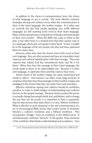In addition to the choice of communication form, the choice of what language to use is crucial. The most effective ministry strategies among oral cultures occur when the communication is done in the heart language, the mother tongue. It is often easy to overlook the fact that people speaking over 4,000 different languages are still awaiting God's word in their heart language. Many of these groups have a long history of being a minority people in their own country. When the Bible has come to them in the past, it has often been in a printed form that they cannot read or in a language which does not speak to their heart. In fact, it might be in the language of the very people who they feel have oppressed them for many years.

However, when they hear the stories from God's word in their own language, they are often amazed and have an immediate heart response and cultural identification with that message. They may respond that indeed God has remembered them and He is for them! When they hear the message in their heart language, the words speak to them in an indescribable way. Because it is their own language, it captivates them and they want to hear more.

Stories heard in the mother tongue are easily memorized and retold to others. Oral learners can often recite large portions of scripture when they hear these passages in their mother tongue and packaged in the stories that they can easily learn and reproduce.

Effective ministries among oral cultures should be worldview sensitive in order to build bridges of understanding and confront barriers to the gospel message.Because stories possess the power to actually change how people think, feel, and behave, and to change the way they see the world, it is important to have a sequential, step-by-step process that leads them to a new, biblical worldview. What is effective in such situations is the oral communication of a set of chronological Bible stories that involve points of similarity between a culture's worldview and a biblical worldview. This incorporates "bridges" from its worldview to the biblical story. It simultaneously confronts "barriers" to the gospel, those elements of the worldview that hinder understanding and acceptance. Over

Look," *International Journal of Frontier Missions* 12:2 (April-June, 1995) 63-64.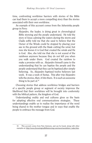time, confronting worldview barriers with stories of the Bible can lead them to accept a more compelling story than the stories associated with their own worldview.

An example of this account comes from the Asheninka people group in Peru:

Alejandro, the leader, is doing great in chronological Bible storying and the people understand. He told the story of Jesus calming the waters during the storm and Cladis softly told me that she used to believe that the Owner of the Winds could be stopped by placing your axe in the ground with the blade cutting the wind, but now she knows it is God that created the winds and He is God. Also, she told me that she is not scared of the rainbows anymore because they do not kill you when you walk under them. God created the rainbow to make a promise with us. Alejandro himself came to the understanding that he can baptize the people and the people understand that they can be baptized after simply believing. So, Alejandro baptized twelve believers last week. It was a week of fiestas. Trip after trip Alejandro tells the stories, *then*, it hits them. It is such an awesome thing to be part of.<sup>16</sup>

Choosing stories that address worldview bridges and barriers of a specific people group or segment of society improves the likelihood that their worldview will be brought into conformity with the biblical pattern, the kingdom of God.

Understanding orality and oral cultures gives us the basis for adopting effective oral communications strategies. These understandings enable us to realize the importance of the word being shared in the mother tongue and in ways that enable the people to embrace the message from God.

<sup>16</sup> This account comes from Pam Ammons, and can be found, along with other examples at: http://www.chronologicalbiblestorying.com/news/newsletters\_index.htm.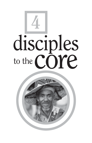

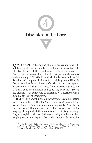

SYNCRETISM is "the mixing of Christian assumptions with those worldview assumptions that are incompatible with Christianity so that the result is not biblical Christianity."17 Syncretism weakens the church, warps non-Christians' understanding of Christianity and withholds from God the full devotion and complete obedience that is rightly due to Him. So the spiritual health and vibrancy of Christian churches depends on developing a faith that is as free from syncretism as possible, a faith that is both biblical and culturally relevant. Several key elements can contribute to discipling oral learners with a minimal amount of syncretism.

The first key element in avoiding syncretism is communicating with people in their mother tongue — the language in which they learned their religion, values and cultural identity. They house their innermost thoughts in their mother tongue, so it is the language through which their worldview is most likely to change. They can explain their new faith more readily to others in their people group when they use the mother tongue. In using the

<sup>17</sup> Charles Kraft, "Culture, Worldview and Contextualization," in *Perspectives on the World Christian Movement*, 3d ed., ed. Ralph D. Winter and Steven C. Hawthorne (Pasadena, CA: William Carey Library, 1999), 390.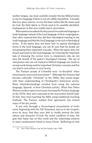mother tongue, one must carefully consider the key biblical terms to use in a language if there is not yet a Bible translation. Concepts like love, grace and sin, or even the basic notion like the name used for God, the Holy Spirit, or Christ need to be carefully identified. Inadequacies in this area readily lead to syncretism.

When pastors are asked why they preach in a national language or trade language instead of the local language of their congregation, they often respond that they did their theological training in the trade language and that the local language is not rich in theological terms. If the pastor does not know how to express theological terms in the local language, you can be sure that his people are not grasping these important concepts. When the pastor does not preach and teach in the local language, he is leaving the important task of choosing the correct term to interpreters who do not have the benefit of the pastor's theological training. The use of interpreters who are not trained in biblical language can result in wrong words being used for important Christian concepts and this can lead to syncretism or even heresy.

The Puinave people of Colombia were "re-discipled" when missionaries uncovered syncretism.18 Although the Puinave had become culturally "Christian" in the 1950s, they mixed magic with their understanding of Christianity's behavioral norms. Many misunderstandings resulted from using the national language, Spanish, in their Christian activity. When New Tribes Mission workers spent seven years learning the Puinave language in the 1970s, they were surprised at the syncretistic beliefs held. At first, they tried teaching the Bible using traditional teaching methods. The Puinave nodded their agreement, but missed many of the key points.

It was only through a chronological presentation of God's word, beginning with the Old Testament and on to the Gospels, story by story, that they were able to vividly portray the holy nature and character of God, the sinful condition of man, the grip that Satan has on this world and the redeeming solution to man's predicament found in Jesus Christ. Reflecting on this

<sup>18</sup> New Tribes Mission, *Now We See Clearly*, video, 1998.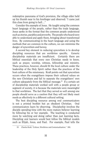redemptive panorama of God's provision, the village elder held up his thumb near to his forefinger and observed: "I came just this close from going to hell…"

Consider the example of Jesus. He taught using the common heart language of the people, rather than the trade language. Jesus spoke in the format that the common people understood such as stories, parables and proverbs. The people who heard were able to understand and apply them, bringing about transformed lives. By communicating in the heart language and using the methods that are common in the culture, we can minimize the danger of syncretism and heresy.

A second key element in reducing syncretism is to develop discipling resources that are worldview specific. Generic discipleship materials are insufficient. Certainly there are biblical essentials that every new Christian needs to know, such as prayer, worship, witness, fellowship and ministry. These practices, however, should fit the local culture under the leadership of the Holy Spirit rather than the practices of the host culture of the missionary. Kraft points out that syncretism occurs when the evangelizers impose their cultural values on the new Christians and fail to separate the evangelizers' own culture adequately from the biblical message.<sup>19</sup> If a certain set of discipleship materials worked well with a people group or segment of society, it is because the materials were meaningful to that worldview. The fact that they served so well among one people should serve as a caution that they will not likely meet needs as effectively in a different cultural setting.

The best discipling resource among oral communicators is not a printed booklet but an obedient Christian. Oral communicators learn by observing. Discipleship involves the disciple spending time with the more mature believer learning by following his or her example. The teaching is conducted more by watching and doing rather than just learning facts. Discipling oral learners would best follow the biblical models such as Elijah, Jesus, and Paul. For example, Paul tells the

19 Charles Kraft, "Culture, Worldview and Contextualization," 390.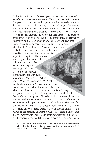Philippian believers, "*Whatever you have learned or received or heard from me, or seen in me–put it into practice*" (Phil. 4:9 NIV). The goal would be that the disciple would immediately become a discipler. As Paul told Timothy, "*. . . the things you have heard me say in the presence of many witnesses entrust to reliable men who will also be qualified to teach others*" (2 Tim. 2:2 NIV).

A third key element in discipling oral learners in order to limit syncretism is to recognize the importance of stories in transforming a person's worldview. N. T. Wright says that stories constitute the core of every culture's worldview. (See the diagram below.) A culture houses its central convictions in its fundamental narrative, whether its narrative is implicit or explicit. The ancient mythologies that we find in cultures around the world are explicit examples of this. Those stories answer four fundamental worldview questions: Who am I? Where am I? What has gone wrong? What can be done about it? Every culture uses stories to tell us what it means to be human, what kind of world we live in, why there is suffering and pain, and what, if anything, we can do to deal with that suffering and pain. Christianity has its own distinctive answers to those worldview questions. In order to influence the worldviews of disciples, we need to tell biblical stories that offer alternative answers to the fundamental worldview questions. The Bible answers these questions with special vividness and power in the opening chapters of Genesis.20 That is one reason it is so important to include Old Testament stories in discipling. Furthermore, when we tell biblical stories chronologically, we

<sup>20</sup> What God has done to deal with the problem of sin is revealed much more fully in the Gospels and Epistles, of course, but there are references to God's redemptive plan in the early stories in Genesis.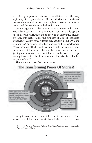are offering a powerful alternative worldview from the very beginning of our presentation. Biblical stories, and the view of the world embedded in them, can replace or refine the cultural stories and the worldview embedded in them.

Wright argues that this is why Jesus so often told stories, particularly parables. Jesus intended them to challenge the existing Jewish worldview and to provide an alternative picture of reality that Jesus called "the kingdom of God" or "kingdom of heaven." Wright says, "Stories are, actually, peculiarly good at modifying or subverting other stories and their worldviews. Where head-on attack would certainly fail, the parable hides the wisdom of the serpent behind the innocence of the dove, gaining entrance and favour which can then be used to change assumptions which the hearer would otherwise keep hidden away for safety*.*"21

There are four areas that affect people...



Wright says stories come into conflict with each other because worldviews and the stories which characterize them

<sup>21</sup> N. T. Wright, *The New Testament and the People of God*, (Minneapolis: Fortress Press, 1992), 40.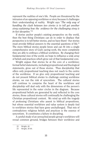represent the realities of one's life. People are threatened by the intrusion of an opposing worldview or story because it challenges their understanding of reality. Wright says "*The only way of handling the clash between two stories is to tell yet another story explaining how the evidence for the challenging story is in fact deceptive.*"22

If stories anchor people's existing perspective on the world, then the best thing Christians can do in order to displace that perspective is to tell better stories, and we have them! Our stories must provide biblical answers to the essential questions of life.<sup>23</sup> The more biblical stories people know and can fit into a single comprehensive story of God's saving work, the more completely they are able to embrace a biblical worldview. By changing their fundamental view of the world, we hope to influence a wide array of beliefs and practices which grow out of that fundamental core.

Wright argues that stories lie at the core of a worldview; formal belief statements, including propositional and theological statements, grow out of those stories. Thus discipleship that offers only propositional teaching does not reach to the centre of the worldview. If we give only propositional teaching and do not present biblical *stories* to challenge existing worldview *stories*, we run the risk of syncretism. The cultural stories will continue to comprise the heart of the worldview and discipleship will deal only with the dimensions of the person's life represented in the outer circles in the diagram. Because propositional beliefs are generated by and reflected in the core stories, those cultural stories will continually be challenging the Christian propositional content. We wind up with the tragedy of professing Christians who assent to biblical propositions, but whose essential worldview and value system is deeply tied to worldview stories that have gone unchallenged. That mix of contradictory religious beliefs and practices is the essence of syncretism. It constitutes a failure in discipling.

A careful study of an unreached people group's worldview will reveal common ground, bridges between their worldview and

<sup>22</sup> Wright, 42.<br>23 Wright, 38-

Wright, 38-40.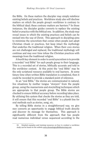the Bible. On these matters the discipler may simply *reinforce* existing beliefs and practices. Worldview study also will disclose matters on which the people group's worldview is contrary to the biblical ideal; these contrary matters are barriers.<sup>24</sup> In those instances, the discipler guides converts to *replace* the existing belief or practice with the biblical one. In addition, the study may reveal issues in which the existing practices and beliefs can be *revised* into the way of Christ. This approach to discipling aims to minimize the syncretism that comes when people just adopt Christian rituals or practices, but keep intact the mythology that underlies the traditional religion. When their core stories are not challenged and replaced, the traditional mythology will continue and may over time infuse the Christian practices with meanings from the traditional religion.

A fourth key element in order to avoid syncretism is to provide a recorded "oral Bible" for each people group in their language. This is a recorded set of stories, biblically accurate and told in the worldview context. At this point the "oral Bible" may be the only scriptural resource available to oral learners. At some future time when written Bible translation is completed, then it could be recorded to provide a standard point of reference.

In an "oral Bible," the stories are communicated in natural, live situations by mother tongue "storyers" from the people group, using the mannerisms and storytelling techniques which are appropriate to that people group. The Bible stories are checked to ensure biblical accuracy before recording takes place. By utilizing this system that checks the stories as they are told, it will ensure that this recorded "oral Bible" is a plumb line for oral methods such as stories, song, etc.

By telling Bible stories in a straightforward way, we give new converts an opportunity to engage biblical truth directly and discover its message for themselves. This approach is significantly different from the approach that has people read numerous individual verses sequenced according to the

<sup>24</sup> Detailed examples and training resources on how to conduct a worldview study can be found on the website www.chronologicalbiblestorying.com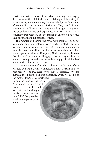curriculum writer's sense of importance and logic and largely divorced from their biblical context. Telling a biblical story in an interesting and accurate way is a simple but powerful manner of freeing disciples to process Scripture. They can do it with a minimum of filtering and interpretive baggage coming from the discipler's culture and experience of Christianity. This is especially true when we tell the stories in chronological order, thus putting them in a biblical context.

The practice of keeping the story *pure* (separate from our own comments and interpretive remarks) protects the oral learners from the syncretism that might come from embracing a polished system of ethics, theology or pastoral philosophy that has a significant dose of European, North American, Korean, Brazilian or Chinese cultural baggage. Instead they synthesize a biblical theology from the stories and can apply it in all kinds of practical situations with courage.

In summary, those of us who seek to make disciples of oral learners will want them to understand biblical truth and live obedient lives as free from syncretism as possible. We can increase the likelihood of that happening when we disciple in the mother tongue, use worldview-

specific approaches instead of generic ones, utilize biblical stories extensively and work with mother-tongue speakers to produce an "oral Bible" that provides a reliable repository of biblical truth.

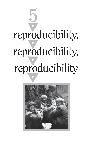## reproducibility, reproducibility, reproducibility **5**

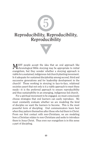### **Reproducibility, Reproducibility, Reproducibility 5**

MANY people accept the idea that an oral approach like chronological Bible storying may be appropriate to initial evangelism, but they wonder whether a storying approach is viable for a sustained, indigenous-led church planting movement. Is it adequate for sustained discipleship among second, third and successive generations and for leadership development in the church? Those working in storying in face-to-face, relational societies assert that not only is it a viable approach to meet these needs—it is the preferred approach to ensure reproducibility and thus sustainability in an emerging, indigenous-led church.

For a spiritual movement to be engaged, we must consciously choose strategies that oral learners can easily reproduce. We must constantly evaluate whether we are modeling the kind of disciples we want the learners to become. This is the most powerful form of discipling. Oral communicators learn best when they pattern themselves after those who led them to Christ. From our first contact with non-Christians, we are modeling how a Christian relates to non-Christians and seeks to introduce them to Jesus Christ. Thus even our evangelism is in this sense a part of discipling.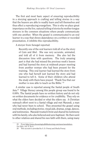The first and most basic aspect of ensuring reproducibility in a storying approach is crafting and telling stories in a way that the hearers are able to readily learn and tell themselves and thus effect a reproducing evangelism. This is why we place great importance on the live, natural telling of stories by mother tongue storyers in the common situations where people communicate with one another. When the gospel is communicated to an oral learner in a way that shows dependence on a written or recorded presentation, it inhibits this reproducibility.

A storyer from Senegal reported:

Recently one of the oral learners told all of us the story of Cain and Abel. She was very accurate, animated, and told all of it from memory. She also led the discussion time with questions. The truly amazing part is that she had missed the previous week's lesson and had learned the story at midweek prayer meeting from another woman who had been present for the training. This oral learner had learned the story from one who had herself just learned the story and had learned to tell it. Some of their children who attend the study with them have prayed: 'Thank You that our mother is now able to teach us the Bible.' <sup>25</sup>

A similar case is reported among the Santal people of South Asia.26 Village literacy among this people group was found to be 0.08%. The Santal people have no written history and do not rely on written documents for evidence or for credibility. They rely on what the elders have decided or what the elders say. A Christian outreach effort went to a Santal village and met Marandi, a man who had never been to school. They presented the gospel using oral methods, including stories, visual aids, dramas, songs, dances, and testimonies. Marandi trusted Christ and shared his testimony with his family, who also believed and were baptized. He then went to other relatives and shared his new faith with them, using many

<sup>25</sup> From http://www.chronologicalbiblestorying.com/news/newsletters,

Oct 2001, Vol. 8, No 4.<br>26 This account is p. 26 This account is provided by S. D. Ponraj and Sheila Ponraj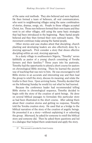of the same oral methods. They also believed and were baptized. He then formed a team of believers, all oral communicators, who went to neighbouring villages using the same combination of stories, dramas, songs, etc. People in those villages accepted Christ, too. Those new believers formed their own teams and they went to yet other villages, still using the same basic strategies that had been introduced in the beginning. Many Santal people believed and they then formed their own outreach teams. The movement continues today among the Santal people.

Other stories and case studies attest that discipling, church planting and developing leaders are also effectively done by a storying approach. First consider a story that shows effective discipling within an oral, storying approach.

In a dusty village in southwestern Nigeria, "Timothy" serves faithfully as pastor of a young church consisting of Yoruba farmers and their families.<sup>27</sup> Three years into his pastorate, Timothy had the opportunity to attend a short course for pastors on chronological Bible storying. There he learned the ancient way of teaching that was new to him. He was encouraged to tell Bible stories in an accurate and interesting way and then lead the group to retell the story, discuss its meaning, and relate the truths to their lives. Upon arriving home, Timothy decided that on the following Sunday he would try out what he had learned.

Because the conference leader had recommended telling Bible stories in chronological sequence, Timothy decided to begin with the story of the creation of spirit beings. He drew on several biblical passages to formulate this particular story as had been illustrated in the short course. After asking them about their creation stories and getting no response, Timothy told the Yoruba creation story. He used that as a bridge to the biblical narration of the story of the creation of angelic beings. He presented it as a story—without explaining it or exhorting the group. Afterward, he asked for someone to retell the biblical story and someone did. Then he asked them questions and led in a dialogue that helped them understand and apply the story.

<sup>27</sup> This account is provided by Grant Lovejoy.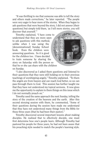#### *Making Disciples Of Oral Learners*

"It was thrilling to me that someone was able to tell the story and others made corrections," he later reported. "The people were very eager to hear more of the stories. When they began to ask questions that were beyond the story, I did not answer [their questions] but simply told them, 'as I tell more stories, you will discover that yourself.'"

Timothy explained, "I have come to understand that they are more open to ask questions with this method, unlike when I was using the [denominational] Sunday School book. Even the children were answering questions. So it is good for the children too. I have decided to train someone by sharing the story on Saturday with the person so that he or she can share with the children on Sunday.



"I also discovered as I asked them questions and listened to their questions that they were still holding on to their previous teachings of worshipping angels," Timothy explained. "To them the angels are from heaven and can reach God better, so we can pass through them to God. This session has further taught me that they have not understood my topical sermons. It now gives me the opportunity to explain to them things on this issue which I do not normally preach on."

Timothy used the same approach the next Sunday, telling the story of the creation of the heavens and the earth. After this second storying session with them, he commented, "Some of their questions during the session have made me understand that they have not understood many things from the Bible for these three years [that he had been their pastor]."

Timothy discovered several important lessons about making disciples. He realized that to effectively disciple, one must first determine how one's people learn. Although Timothy had pastored his people for three years, he had not been aware that his preaching style needed to match the people's learning style.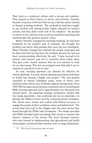They lived in a relational culture with a strong oral tradition. They passed on their history in stories and proverbs. Timothy became conscious of the fact that he was a literate pastor trained in literate teaching methods. The methods he had been taught to use worked well among people highly educated in western schools, but they didn't work well in his situation. He decided to return to his cultural roots as well as model his preaching and teaching after the greatest teacher–Jesus.

Before Timothy changed his teaching methods, he had been frustrated by his people's lack of response. He thought the problem was theirs, that perhaps they were not very intelligent. When Timothy changed his methods the people responded and he discerned that he had been the problem because he had not been communicating effectively. He said, "I have learned to be patient with learners and not to condemn them rashly when they give some 'stupid' answers that are not relevant to what we are discussing. This has encouraged most that didn't use to respond to questions to do so now."

An oral, storying approach can likewise be effective for church planting. A recent church planting movement took place in South Asia among a highly oral people.28 The oral peoples consisted of various scheduled castes, some of whom were animists while others were of Hindu religious background. From 1997-2003 an agricultural project combined with a chronological Bible storying approach led to approximately two thousand new church starts. An expatriate strategy coordinator worked with two media specialists—one a national and one an expatriate—to develop the biblical stories and the communications strategies. The stories were chosen and crafted with biblical accuracy to engage the people at their worldview values and beliefs level. The stories that were told in the villages were the same stories they heard through the FEBA radio broadcasts. The media specialist and FEBA provided taped recordings that served to improve the hearers' memory of the stories. The local Christian farmers, who were trained in implementing vital agricultural and health technologies, mentored other farmers even on large plantations.

<sup>28</sup> This account is provided by James B. Slack.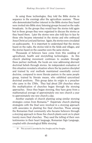In using those technologies, they told the Bible stories in sequence in the evenings after the agriculture sessions. Those who demonstrated further interest in the Bible stories they heard were invited into Bible story listening groups focused on the radio broadcasts. In the groups they would hear the stories told again but in those groups they were organized to discuss the stories as they heard them. Later the stories were also told face to face by those who became interested in the stories and who embraced Jesus Christ as Lord and Saviour. Again, the stories were circulated on audiocassette. It is important to understand that the stories heard on the radio, the stories told in the fields and villages, and the stories heard on the cassettes were the same stories.

Thousands of believers have come from this wedding of agricultural, health and storytelling technologies. As this church planting movement continues to escalate through these partner methods, the locals are now addressing aberrant doctrinal beliefs through stories. An independent evaluation of this situation revealed a situation where the lay pastors discipled and trained by oral methods maintained essentially correct doctrine, compared to more literate pastors in the same people group, trained by literate means, who exhibited syncretized doctrinal positions. This group dates its origin to a preacher who came in the 1760s. They had about 250 churches when the multiplication of churches began through the storying approaches. Since they began storying, they have gone from a mathematical average of approximately one new church a year to approximately one new church a day.

Another example of church planting using similar storying strategies comes from Romania.<sup>29</sup> Expatriate church planting strategists with the Deaf were involved in a storying approach with associates in planting five Deaf churches. Those among the Romanian Deaf community who became believers through a storying approach in those five church plants went on to plant twenty more Deaf churches. They used the telling of their own testimonies in their heart language, Romanian Sign Language, coupled with chronological Bible storying.

<sup>29</sup> This account is provided by Doc Douglas and Dee Douglas.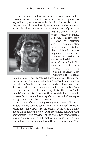#### *Making Disciples Of Oral Learners*

Deaf communities have many of the same features that characterize oral communicators. In fact, a more comprehensive way of looking at what are called "orality" features is not that they are crucially or exclusively associated with what is spoken by mouth. They are, instead a correlation of ways of processing



that are common to faceto-face, highly relational societies. The correlation of ways of processing and communicating involve concrete (rather than abstract) notions; sequential (rather than random) expression of events; and relational (as opposed to individualist) contexts. Both oral cultures and Deaf communities exhibit these characteristics because

they are face-to-face, highly relational cultures. Throughout the world, Deaf communities are being reached by chronological Bible storying methods. So there is reason to include them in this discussion. (It is in some sense inaccurate to call the Deaf "oral communicators." Furthermore, they dislike the terms "oral," "orality" and "oralism" because they associate the terms with nineteenth and twentieth century efforts to force the Deaf to give up sign language and learn to speak.)

An account of oral, storying strategies that were effective in leadership development comes from North Africa.<sup>30</sup> There 17 young men (many of whom could barely read and write and some not at all) underwent a two-year leader training program using chronological Bible storying. At the end of two years, students mastered approximately 135 biblical stories in their correct chronological order, spanning from Genesis to Revelation. They

<sup>30</sup> This account is provided by Grant Lovejoy.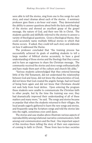were able to tell the stories, sing from one to five songs for each story, and enact dramas about each of the stories. A seminary professor gave them a six-hour oral exam. They demonstrated the ability to answer questions about both the facts and theology of the stories and showed an excellent grasp of the gospel message, the nature of God, and their new life in Christ. The students quickly and skillfully referred to the stories to answer a variety of theological questions. Given a theological theme, they could accurately name multiple biblical stories in which that theme occurs. If asked, they could tell each story and elaborate on how it addressed the theme.

The professor concluded that "the training process has successfully achieved its goals of enabling students to tell a large number of biblical stories accurately, to have a good understanding of those stories and the theology that they convey and to have an eagerness to share the Christian message. The community received the stories and story-songs enthusiastically and have made them part of the culture and church life alike."

"Various students acknowledged that they entered knowing little of the Old Testament, did not understand the relationship between God and Jesus, did not know the characteristics of God, did not know that God created the angelic beings, had not heard of being born again and did not know that Christians should not seek help from local deities. Upon entering the program these students were unable to communicate the Christian faith to other people, but by the time the training was over, they had dramatically improved their understanding of all of these matters and many more," he said. The songs and stories became so popular that when the students returned to their villages, the local people eagerly gathered to learn the new songs and stories, and frequently sang the Scripture songs and told the stories late into the night, sometimes even until dawn.

The stories and case studies above illustrate various aspects of reproducibility among relational-narrative communicators, both among oral communicators and the Deaf. One important aspect of this involves them telling the story of their own experience of coming to faith in Christ. Those from face-to-face societies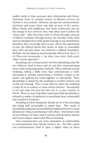readily testify to their personal, daily relationship with Christ. Testimony times in worship services in Western services are limited or non-existent. However, among oral communicators, testimony and prayer times may take up most of the service. When friends and neighbours hear these testimonies and see the change in new converts' lives, they often want to follow the "Jesus road." After they have come to Christ through a process of biblical revelation through stories, the discipler helps them learn an abridged story of the gospel message to use immediately. Disciplers then encourage them to give others the opportunity to hear the biblical stories they heard, in order to consolidate their faith and give these new believers a biblical foundation. Multiple church planting and discipleship efforts from the U. S. to China now incorporate a "my story, your story, God's story, others' stories approach."

Discipling oral communicators involves identifying what the new believers need to know and do and then communicating these truths using appropriate methods. These methods include modeling, telling a Bible story that communicates a truth, discussing it, perhaps memorizing a Scripture related to the matter and applying the truth together or individually. Their discipleship is shaped by the modeling of another believer and on-the-job training. This is most effective when the modeling is done by an in-culture or close-culture believer. Discipleship is not just what one does but who one is—a new creature in Christ. Then we must help them understand that discipleship is primarily a matter of obedience to everything Jesus commanded and revealed in Scripture.

Discipling involves having the disciple do all of the preceding plus being held accountable to report back. This model of discipleship emphasizes accountability for application in two crucial dimensions: living it and sharing it with others. Oral learners, like all true followers of Jesus, need to practice what Scripture teaches and to pass along to others what they are learning.

Oral communicators are more dependent on relationships in communication than literate learners are. For that reason oral communicators tend to place a higher value on those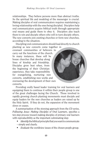relationships. They believe persons more than abstract truths. So the spiritual life and modeling of the messenger is crucial. Making disciples of oral communicators requires maintaining a loving relationship with the ones being discipled. Disciplers help oral communicators acquire biblical truth through appropriate oral means and guide them to obey it. Disciplers also teach them to win and disciple others who will in turn disciple others. The new converts join existing churches or form new churches, according to the situation.

Discipling oral communicators should lead directly to church planting as new converts come together in

covenant communities of believers to carry out the functions of the church. In many instances, these will be house churches that develop along lines of kinship and friendship. Disciples grow best when, from the beginning of their Christian experience, they take responsibility for evangelizing, nurturing new converts, establishing new works and overseeing the development of their own converts.



Providing orally based leader training for oral learners and equipping them to continue it within their people group is one of the great challenges facing the Church. Those involved in rapidly growing church planting movements must disciple and equip leaders for the new churches as leaders are raised up by the Holy Spirit. If they do not, the expansion of the movement slows or ceases.

A summarization of the storying approach from the CD series, *Following Jesus: Making Disciples of Oral Learners*, specifies a ten-step process toward making disciples of primary oral learners with reproducibility as the important culminating step:

- *Identify* the biblical principle that you want to communicate – simply and clearly.
- *Evaluate* the worldview issues of the chosen people group.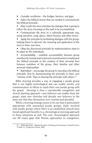*• Consider* worldview – the bridges, barriers, and gaps.

*• Select* the biblical stories that are needed to communicate the biblical principle.

*Plan* (craft) the story and plan the dialogue that is going to follow the story, focusing on the task to be accomplished.

*Communicate* the story in a culturally appropriate way, using narrative, song, dance, object lessons, and other forms.

*• Apply* the principle by facilitating dialogue with the group, helping them to discover the meaning and application of the story to their own lives.

*Obey* the discovered principle by implementation steps to be taken by the individuals.

• *Accountability* – establish accountability between group members by mutual and reciprocal commitments to implement the biblical principle in the conduct of their personal lives between members of the group, their families and other personal relationships.

*• Reproduce* – encourage the group to reproduce the biblical principle, first by demonstrating the principle in their own "witness of life" then in sharing the principle with others.<sup>31</sup>

Bible storying provides a way of engaging a people group that is not highly technological and can readily involve oral communicators in efforts to reach their own people group with the gospel. Storying is thus a reproducible evangelistic and church planting approach—new believers can readily share the gospel, plant new churches and disciple new believers in the same way that they themselves were reached and discipled.

While a storying strategy seems to be one that is particularly appropriate with unreached people groups, many involved with people groups where there is an established church have found significant benefits to a chronological storying approach in those situations as well. The oral, chronological approach can fill major gaps that literate approaches to evangelism,

<sup>31</sup> *Following Jesus: Making Disciples of Primary Oral Learners*, hosted by Avery T. Willis Jr., Progressive Vision, 2002.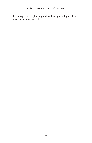discipling, church planting and leadership development have, over the decades, missed.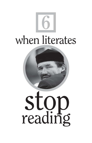



# stop reading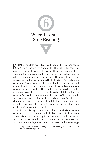## **When Literates Stop Reading 6**

RECALL the statement that two-thirds of the world's people Ccan't, won't, or don't read and write. The bulk of this paper has focused on those who can't. This part will focus on those who don't. These are those who choose to learn by oral methods as opposed to literate ones, in spite of their literacy. These people are known as secondary oral learners. James B. Slack defines "secondary oral learners" as "people who have become literate because of their job or schooling, but prefer to be entertained, learn and communicate by oral means." Walter Ong, father of the modern orality movement, says, "I style the orality of a culture totally untouched by writing or print, 'primary orality.' It is 'primary' by contrast with the 'secondary orality' of present-day high-technology culture, in which a new orality is sustained by telephone, radio, television and other electronic devices that depend for their existence and functioning on writing and print."32

Earlier in this paper we explored the characteristics of oral learners. It is increasingly evident that many of these same characteristics are as descriptive of secondary oral learners as they are of primary oral learners. As such, the effectiveness of our communication is dependent on what we do with this knowledge.

<sup>32</sup> Ong, Walter J. *Orality & Literacy: The Technologizing of the World* (London and New York: Routledge, 1982).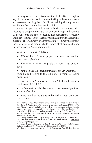Our purpose is to call missions-minded Christians to explore ways to be more effective in communicating with secondary oral learners—in reaching them for Christ, helping them grow and mobilizing them to involvement in ministry.

Why is it important to do this? A 2004 study reported that "literary reading in America is not only declining rapidly among all groups, but the rate of decline has accelerated, especially among the young." This reflects a "massive shift toward electronic media for entertainment and information."33 Numerous western societies are seeing similar shifts toward electronic media and the accompanying secondary orality.

Consider the following statistics:

58% of the U.S. adult population never read another book after high school.

• 42% of U. S. university graduates never read another book.

• Adults in the U. S. spend four hours per day watching TV, three hours listening to the radio and 14 minutes reading magazines. <sup>34</sup>

British teenagers' pleasure reading declined by about a third from 1991-1998.35

• In Denmark one-third of adults do not do any significant amount of reading.36

• More than half the adults in the Netherlands hardly ever read a book. <sup>37</sup>

<sup>33</sup> *Reading at Risk: A Survey of Literary Reading in America,* Research Division Report no. 46 (Washington, DC: National Endowment for the Arts, 2004), vii. The term "literary reading" includes books such as romance novels, so these statistics reflect pleasure reading generally, not just the reading of "literary classics." The survey included 17,000 adults and was administered by the U. S. Census Bureau. 34 The first three items are reported by Dan Poynter and cited in http://newwway.

org/news/2004/apr 2.htm.

<sup>35</sup> *Young People in 1998*, a report compiled from surveys of 18,221 pupils by the Schools Health Education Unit based at Exeter University. Available at http://www. sheu.org.uk/pubs/yp98.htm.

<sup>36</sup> Viggo Sogaard, *Evangelizing Our World: Insights from Global Inquiry*  (Pattaya, Thailand: 2004 Forum for World Evangelization, 2004), 11.

<sup>37</sup> Both statements about reading in the Netherlands are from Marieke Sanders-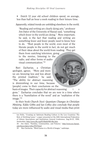• Dutch 12 year old school children spend, on average, less than half an hour a week reading in their leisure time.

Apparently, related trends are unfolding elsewhere in the world.

"Reading and writing are clearly dying arts," professor Jim Dator of the University of Hawaii said, "something which fewer in the world are doing." More important, he said, is the fact that reading and writing are something fewer and fewer people need to know how to do. "Most people in the world, even most of the literate people in the world in fact, do not get much of their ideas about the world from reading. They get them from watching television, going to the movies, listening to the radio, and other forms of audiovisual communication."38

Ravi Zacharias, a Christian apologist, agrees. "More and more we are knowing less and less about the printed tradition," he said. "The ability for abstract reasoning is diminishing in our time, because [people] come to their conclusions on the basis of images. Their capacity for abstract reasoning i s gone." Zacharias concludes that we are now in a time where there is a "humiliation of the word" and an "exaltation of the image."39

In their book *Church Next: Quantum Changes in Christian Ministry*, Eddie Gibbs and Ian Coffey also conclude that people today are more influenced by audio and visual media than print

ten Holte, "Creating an Optimum Reading Culture in the Low Countries: The Role of Stichting Lezen," a paper presented at the 64th International Federation of Library Associations and Institutions General Conference, Aug.16-21, 1998, Amsterdam, http://www.ifla.org/IV/ifla64/098-80e.htm.

<sup>38</sup> Jim Dator, "Families, Communities, and Futures," http://www.soc.hawaii. edu/future/dator/other/FCF.html

<sup>39</sup> Ravi Zacharias, "Mind Games in a World of Images," audiotape.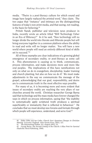media. "Theirs is a post-literacy culture for which sound and image have largely replaced the printed word," they claim. The two argue that "instancy" and intimacy are the distinguishing features of today's non-print media, and that seeing, not reading, is the basis for believing.40

Pritish Nandi, publisher and television news producer in India, recently wrote an article titled "Will Technology Usher in an Era of Illiteracy?" In it he said, "New technology will no longer divide the world into literate and illiterate people but will bring everyone together in a common platform where the ability to read and write will no longer matter. You will have a new world where people will need an entirely different kind of skills set to succeed."<sup>41</sup>

All of these examples are clear indications of a growing global emergence of secondary orality, or post-literacy as some call it. This phenomenon is causing us to think, communicate, process information, and make decisions more and more like oral peoples. The implications of this have ramifications not only on what we do in evangelism, discipleship, leader training and church planting, but also on how we do it! We must make adjustments in the way we communicate the message of the gospel, acknowledging that our goal, responsibility, and desire are to communicate truth in the most effective ways possible.

For many of us, it is becoming more and more evident that issues of secondary orality are reaching the very altars of our churches around the world. Christian researcher George Barna said that technology and the mass media have forever changed the ways in which we process information, saying that "the inability to systematically apply scriptural truth produces a spiritual superficiality or immaturity that is reflected in behaviour." He concludes that we must develop new forums and formats through which people will experience, understand, and serve God.<sup>42</sup>

<sup>40</sup> Eddie Gibbs and Ian Coffey, *Church Next: Quantum Changes in Christian Ministry* (Leicester, England: Inter-Varsity Press, 2001), 127.

<sup>41</sup> *The International Indian*, 9:4, (August 2001), 22.

<sup>42</sup> George Barna, *The Second Coming of the Church: A Blue Print for Survival*  (Nashville: Word Publishing, 1998).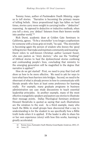Tommy Jones, author of *Postmodern Youth Ministry,* urges us to tell stories. "Narrative is becoming the primary means of telling beliefs. Since propositional logic has fallen on hard times, stories carry more weight in carrying truths – "abductive" reasoning. As opposed to deductive or inductive methods, when you tell a story, you 'abduct' listeners from their known worlds into another world."43

Rick Durst, academic dean at Golden Gate Seminary in California, agrees. "To be a 'storyteller' is no longer a euphemism for someone with a loose grip on truth," he said. "The storyteller is becoming again the person of wisdom who knows the 'good telling stories' that make and maintain community and meaning." Durst refers to well-known Christian author Leonard Sweet, who sees pastors as "story doctors," who use the "truthing" of biblical stories to heal the dysfunctional stories confining and confounding people's lives, concluding that ministry to the emerging generation will be magnified to the degree that narrative is applied.<sup>44</sup>

How do we get started? First, we need to pray that God will show us how to be more effective. We need to ask for ways to turn what have been barriers into bridges. Second, we need to be observant of what is already proven in how to communicate with literate people who have at least some preference for learning orally. For example, many graduate programs in business administration use case study discussions to teach essential leadership principles. As another example, many of the most effective evangelistic speakers and pastors use stories to illustrate their message points. Dallas Theological Seminary professor Howard Hendricks is quoted as saying that such illustrations are the windows to the soul. As a third example, many who teach the Bible in small groups have discovered that a way to understanding is for the student to see specifically how a Bible truth looks when it is applied. If the leader is able to share his or her own experience (story) with how this works, learning is greatly accelerated.

<sup>43</sup> Tommy Jones, *Postmodern Youth Ministry* (Grand Rapids: Zondervan, 2001), 27.

<sup>44</sup> Jones, 27.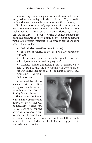Summarizing this second point, we already know a lot about using oral methods with people who are literate. We just need to surface what we know and become more intentional in using it.

Finally, we must proactively experiment with new ways to be even better in communicating with secondary oral learners. One such experiment is being done in Orlando, Florida, by Campus Crusade for Christ. A group of Christian college students are being taught how to do follow-up and discipleship using storying versus using written materials. Four types of stories are being used by the disciplers:

- God's stories (narratives from Scripture)
- Their stories (stories of the discipler's own experience with God)
- Others' stories (stories from other people's lives and video clips from movies and TV programs)
- Disciples' stories (immediate practical applications of biblical truth so that the new disciple can develop his or her own stories that can be used to minister to others, thus

promoting spiritual multiplication)

Similar models are being launched with executives and professionals, as well as with new Christians in Sunday School classes.

These are but a beginning of the kinds of extensive and innovative efforts that will be necessary to learn how to use storying to connect better with secondary oral learners of all educational



and socioeconomic levels. As lessons are learned, they need to be shared freely to further accelerate the learning process in how to be more effective.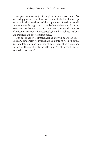We possess knowledge of the greatest story ever told. We increasingly understand how to communicate that knowledge better with the two-thirds of the population of earth who will receive it best through storying and other oral means. In recent years we have begun to see that storying can greatly increase effectiveness even with literate people, including college students and business and professional people.

Our call to action is simple: Let's do everything we can to set aside any tendencies we might have to ignore or not utilize this fact, and let's pray and take advantage of every effective method so that, in the spirit of the apostle Paul, "by all possible means we might save some."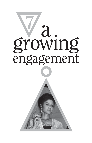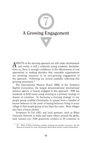

ASPECTS of the storying approach are still under development and orality is still a relatively young academic discipline. Even so, there is enough confidence in the effectiveness of oral approaches to making disciples that reputable organizations are investing resources in an ever-growing engagement of the approach. Following are several examples reflecting this growing movement.45

The International Mission Board (IMB) of the Southern Baptist Convention, the largest denominational international mission agency, is heavily engaged in this approach. IMB has hundreds of field teams using storying as a primary strategy in dozens of countries. In Suriname a storying strategy in one people group enabled Christianity to spread from a handful of known believers to the point of having believers living in every village in that people group in less than five years. Most villages also have a house church.

Scriptures In Use (SIU) and local partners, such as Bihar Outreach Network in India and many others around the globe, have trained over 7000 grassroots workers in 50 countries in

<sup>45</sup> Many of these ministries produce training and ministry resources. See the Resources section for more information about them and for contact information.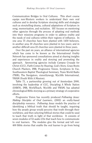Communication Bridges to Oral Cultures. This short course equips non-Western workers to understand their own oral cultures and to develop Scripture storying skills and strategies such as storytelling-drama, cultural adaptations of Scripture in song, memorization, and recitation. SIU focuses on mentoring other agencies through the process of adopting oral methods into their missions programs in order to address orality and the needs of oral cultures within their regions of influence. In one area 75 churches have been planted with 1450 believers, in another area 30 churches were planted in two years; and in another difficult area 22 churches were planted in three years.

Over the past six years, an alliance of international agencies which has come to be known as the International Orality Network has sponsored consultations aimed at sharing insights and experiences in orality and storying and promoting the approach. Sponsoring agencies include Campus Crusade for Christ (CCC), Faith Comes by Hearing, God's Story, Grass Roots Church Planters, IMB, Progressive Vision, Scriptures In Use, Southwestern Baptist Theological Seminary, Trans World Radio (TWR), The Navigators, visionSynergy, Wycliffe International, YWAM (Youth With A Mission).

Table 71, a partnership growing out of Amsterdam 2000, involving the leadership of CCC, Discipling A Whole Nation (DAWN), IMB, WorldTeach, Wycliffe and YWAM, has adopted chronological Bible storying as a primary strategy of cooperative efforts.

Progressive Vision has recently produced *Following Jesus: Making Disciples of Oral Learners*, (2002) an orally-based discipleship resource. *Following Jesus* models the practice of identifying a biblical truth that should be taught, inquiring how the people group would perceive that truth through their worldview, and then selecting biblical stories that could be used to teach that truth in light of that worldview. It consists of seven modules of 53 audio CDs that teach how to communicate to oral learners. The modules give the format and tell over 400 Bible stories that enable the oral learner to go from being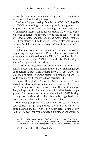a new Christian to becoming a senior pastor or cross-cultural missionary without having to read.

OneStory,46 a partnership founded by CCC, IMB, Wycliffe and YWAM, is engaging a storying approach among unreached peoples. OneStory conducts training and workshops and establishes OneStory training centers around the world to enable churches or agencies to prepare forty to fifty initial stories in an unreached people's language, equipping mother-tongue storyers to tell the stories and multiply churches. It also makes audio recordings of the stories for archiving and broad sowing by volunteers.

Radio ministries are becoming increasingly involved in supporting oral approaches. FEBA Radio has partnered with other agencies in Central Asia, the Middle East and North Africa in broadcasting stories. TWR has recently identified orality as one of five top strategic initiatives.

A Deaf Bible Network has been formed fostering Deaf nationals recording Bible stories in their native sign languages: *God's Stories in Sign*. Deaf Opportunity Out Reach (DOOR) has four training sites for chronological Bible storying where Deaf leaders from over 25 countries have been trained.

Global Recordings Network (GRN, formerly Gospel Recordings) has produced audio and audio-visual Bible-based evangelism and discipling resources in more than 5500 languages designed specifically for non- and minimally-literate people groups. These resources continue to be refined as GRN develops strategic partnerships with other like-minded organizations to reach the unreached oral communicators of the world.

This growing engagement is not limited to missions agencies. Local churches are getting involved as well. Larry Johnson is a coordinator among pastors in Ellis County, Texas, a rural county south of Dallas.<sup>47</sup> Johnson attended a training event about oral

<sup>46</sup> The original name for the OneStory Partnership was Epic Partners, International. The name was changed to avoid confusion with other ministries and organizations. The name of the partnership has been updated throughout this book.

<sup>47</sup> This account is provided by James B. Slack.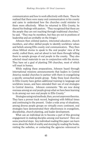communicators and how to work effectively with them. There he realized that there were many oral communicators in his county and came to understand how the churches could minister to them more effectively. When he returned to Ellis County, he shared his findings with pastors. "They recognized that these are the people they are not reaching through traditional churches," he said. "They may be members, but they are not in positions of leadership and are probably on the fringes."

Johnson then enlisted pastors, interested educators, church members, and other skilled people to identify worldview values and beliefs among Ellis county oral communicators. They then chose biblical stories to speak to the oral peoples' view of the world, crafted them, and set about to test them through telling them to sample groups of oral people in the county. They also selected visual materials to use in conjunction with the stories. They have set a goal of planting 700 churches, most of which will meet in homes.

While making these preparations, Johnson heard through international missions announcements that leaders in Central America needed churches to partner with them in evangelizing a specific unreached people group. Today these local churches in Ellis County have gotten additional training in language and worldview issues, and have extended their use of oral strategies to Central America. Johnson comments: "We are now doing overseas among an oral people group what we have been learning to do among our own oral people in Ellis County."

Strategies using oral methods, then, are not unproven theories. They have a proven track record, beginning with biblical times and continuing to the present. Under a wide array of situations, among diverse people groups on virtually every continent, oral strategies have demonstrated their effectiveness in evangelism, discipleship, church planting, and leader development.

What can an individual do to become a part of this growing engagement in making disciples among oral learners? Here are some practical steps: Any individual reading this paper can learn more about the field of orality and storying by reading the books, visiting the websites, or contacting the agencies referenced in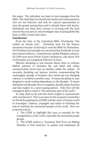this paper. The individual can learn to story passages from the Bible. The individual can identify the nearby oral communicators who are not believers and look for natural opportunities to story the gospel among them and to disciple them with stories. Individuals can share their journey in storying with the local church they are part of, and investigate ways of going global like those in Ellis County have done.

#### *Conclusions*

From the time of the Gutenberg Bible, Christianity "has walked on literate feet." Christians have led the literacy movement because of desiring to read the Bible for themselves. Yet Christians increasingly are concerned that hundreds of years have passed without a comprehensive global Kingdom advance. In 2,000 years since Christ's Great Commission, only about 10% of all peoples are evangelical followers of Jesus.

Effective discipling of oral learners allows them to embrace biblical patterns of Christian life and belief and utilize communication forms that are familiar within the culture. Of necessity, discipling oral learners involves communicating the unchanging message of Scripture into varied and ever-changing cultures in worldview-sensitive ways. It means discipling in ways designed to avoid creating dependency on the discipler. It means setting the oral disciples free to evangelize, disciple, plant churches and train leaders in a never-ceasing pattern. Only then will the message be able to reach to "the uttermost parts of the earth."

So what shall we do with this fresh insight to communicate with oral learners? This is an issue for the Lausanne Committee for World Evangelization (LCWE) and the entire Christian world to investigate, embrace, propagate and utilize in finishing the task of reaching the unreached peoples of the world. Here are proposed actions:

1. The LCWE to highlight this issue as essential for the evangelization of the world, especially the unreached people groups.

2. The LCWE endorse a "Lausanne Task Force on Making Disciples of Oral Learners" to explore and implement all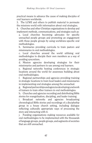practical means to advance the cause of making disciples of oral learners worldwide.

3. The LCWE and others to publish material to permeate the missions world with information about oral strategies.

4. Churches and other Christian organizations to develop and implement methods, communications, and strategies such as:

a. Local churches becoming advocates for specific unreached people groups and promoting an engagement with those people groups by using worldview-specific oral methodologies.

b. Seminaries providing curricula to train pastors and missionaries in oral methodologies.

c. Local churches around the world utilizing oral methodologies to disciple their own members as a way of avoiding syncretism.

d. Mission agencies developing strategies for their missionaries and partners to use among oral learners.

e. Regional networks hosting conferences in strategic locations around the world for awareness building about oral methodologies.

f. Regional partnerships and agencies providing training in strategic locations to train local leaders and missionaries in implementing oral strategies among the unreached.

g. Regional partnerships and agencies developing a network of trainers to train other trainers in oral methodologies.

h. Churches and agencies recording and distributing Bible stories for evangelization, discipling, and leader training.

i. Broadcast networks and agencies broadcasting chronological Bible stories and recordings of a discipleship group in a house church setting, including dialogue reflecting culturally appropriate ways of processing the story and interacting with it.

j. Funding organizations making resources available for oral methodologies to be implemented with the thousands of language groups, people groups, and segments of societies that are still unreached.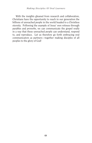With the insights gleaned from research and collaboration, Christians have the opportunity to reach in our generation the billions of unreached people in the world headed to a Christless eternity. Following the example of Jesus' own witness through parables and proverbs, we can communicate the gospel orally in a way that these unreached people can understand, respond to, and reproduce. Let us therefore go forth embracing oral communicators as partners—together making disciples of all peoples to the glory of God!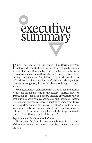# executive summar

FROM the time of the Gutenberg Bible, Christianity "has walked on literate feet" and has directly or indirectly required literacy of others. However, two-thirds of all people in the world are oral communicators—those who can't, don't, or won't learn through literate means. Four billion in our world are at risk of a Christless eternity unless literate Christians make significant changes in evangelism, discipleship, leader training and church planting.

Making disciples of oral learners means using communication forms that are familiar within the culture: stories, proverbs, drama, songs, chants, and poetry. Literate approaches rely on lists, outlines, word studies, apologetics and theological jargon. These literate methods are largely ineffective among two-thirds of the world's peoples. Of necessity, making disciples of oral learners depends on communicating God's word with varied cultures in relevant ways. Only then will the gospel be able to reach to "the uttermost parts of the earth."

# *Key Issues for the Church to Address:*

Five aspects of making disciples of oral learners in the context of the Great Commission must be considered vital to "finishing the task":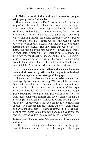# 1. Make the word of God available to unreached peoples using appropriate oral strategies.

The church is commanded by Christ to "make disciples of all peoples" which certainly includes the vast majority of the yet unreached oral learners. Providing an "oral Bible" allows God's word to be produced accurately from memory for the purpose of re-telling. The "oral Bible" is the singular key to unlocking church planting movements among unreached people groups. However, that "oral Bible" must penetrate the people group to its worldview level belief system. Only then will a Bible become meaningful and useful. The only Bible that will be effective during the lifetime of the vast majority of unreached people is an "oral Bible," probably best presented in narrative form. It is important for the church to understand that a written version of Scripture does not even exist for the majority of languages. Even if literacy were achieved, the Bible would still not exist in some 4,000 languages (see further in Chapter 2 below).

# 2. Use oral communication patterns which allow the whole communitytohearclearlyintheirmothertongue,tounderstand, respond and reproduce the message of the gospel.

Literate church leaders and their missionaries should master new ways of preaching and teaching. Effective ministries among those with an oral learning preference will use communication forms already in place within their own culture. If the gospel is to spread freely and rapidly within an unreached people group, strategists working in that group must do their best to avoid methodology that hinders oral peoples from winning and discipling their own families, friends and others. Training models will be most effective when they take orality into consideration. Churches will then begin to see training and new leaders emerge from within the oral peoples. These leaders will facilitate churchplanting movements to rapidly disciple and equip leaders for the new churches as leaders are raised up by the Holy Spirit.

# 3. Avoid syncretism by making disciples of oral learners using oral means.

If the church is going to avoid syncretism, then the gospel needs to be communicated in the mother tongue of the people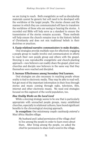we are trying to reach. Both evangelistic as well as discipleship materials cannot be generic but will need to be developed with the worldview of the target people. The stories chosen and the manner in which they are communicated will have to transform the worldview of those who are seeing or hearing the stories. A recorded oral Bible will help serve as a standard to ensure the transmission of the stories remains accurate. These methods will help ensure the church remains true to the historic beliefs of Christianity and does not mix traditional beliefs in their doctrines or practices.

# 4. Equip relational-narrative communicators to make disciples.

Oral strategies provide multiple ways for effectively engaging a people group to readily involve oral communicators in efforts to reach their own people group and others with the gospel. Storying is one reproducible evangelistic and church-planting approach—new believers can readily share the gospel, plant new churches and disciple new believers in the same way that they themselves were reached and discipled.

# 5. Increase Effectiveness among Secondary Oral Learners.

Oral strategies are also necessary in reaching people whose orality is tied to electronic media. They may be able to read well, but get most of the important information in their lives through stories and music coming through radio, television, film, internet and other electronic means. We need oral strategies focused on this segment of the world population, too.

# *How Orality Works on the Local Level*

While a storying strategy seems to be one that is particularly appropriate with unreached people groups, many established churches, especially in relational cultures, have found significant benefits to the chronological storying approach.

In evangelism: *One missionary couple cautiously entered a West Africa Muslim village.*

My husband and I asked permission of the village chief to live among the people in order to learn more about them. After living among the people, we asked the chief for permission to share God's word in the village.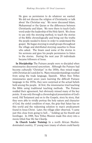He gave us permission to do whatever we wanted. We did not discuss the religion of Christianity or talk about 'the Christian way.' We never discussed Islam, Muhammad or the Quran or the differences between Christianity and Islam. We were there to teach God's word under the leadership of the Holy Spirit. We chose to use only the storying method, to teach the stories of the Bible chronologically and bring out the truths the people needed to know in order to understand the gospel. We began storying in small groups throughout the village and distributed storying cassettes to those who asked. The Imam used some of the stories in his sermons and gave his people permission to listen to the stories. During the next year 20 individuals became followers of Jesus.

 In Discipleship: The Puinave people were re-discipled when missionaries discovered syncretism. Although the Puinave had become culturally "Christian" in the 1950s, they mixed magic with Christian do's and don'ts. Many misunderstandings resulted from using the trade language, Spanish. When New Tribes missionaries spent seven years learning the difficult Puinave language in the 1970s, they were surprised at the actual beliefs held among the people. At first, the missionaries tried teaching the Bible using traditional teaching methods. The Puinave nodded their agreement, but obviously missed many of the key points. It was only through a chronological presentation of God's word, Old Testament and on to the Gospels, story by story, that they were able to vividly portray the holy nature and character of God, the sinful condition of man, the grip that Satan has on this world and the redeeming solution to man's predicament found in Jesus Christ. Later, the village elder observed, "I came just this close from going to hell…" holding up his thumb and forefinger. In 1998, New Tribes Mission made this story into a movie titled *Now We See Clearly*.

 In Church Leader Training: In a north African Muslimdominated country, 17 young men (many of whom could barely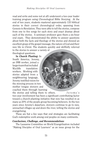read and write and some not at all) underwent a two-year leader training program using Chronological Bible Storying. At the end of two years, students mastered approximately 135 biblical stories in their correct chronological order, spanning from Genesis to Revelation. They were able to tell the stories, compose from one to five songs for each story and enact dramas about each of the stories. A seminary professor gave them a six-hour oral exam. They demonstrated the ability to answer questions about both the facts and theology of the stories and showed an excellent grasp of the gospel message, the nature of God and their new life in Christ. The students quickly and skillfully referred to the stories to answer a variety of theological questions.

In Church Planting: In South America, Jeremy, an IMB worker, joined a larger team that included Wycliffe translation workers. Working with stories adapted from a neighbouring language, Jeremy instilled vision for the storying process in two mother tongue storyers and coached them through learning

the stories and telling them to others.  $J \cdot e \cdot r \cdot e \cdot m \cdot y \cdot s$ two-year involvement has been a significant contributing factor toward a church-planting initiative that now has resulted in as many as 20% of the people group becoming believers. In the two years since Jeremy's departure, storyers continue to go to new, unreached villages up and down the river, telling the stories and evangelizing.

These are but a few ways that oral strategies are facilitating God's redemptive work among oral peoples on many continents.

#### *Conclusions, Challenge, and Recommendations*

The Lausanne Committee on World Evangelization included "Making Disciples of Oral Learners" as an issue group for the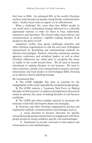first time in 2004. An estimated 90% of the world's Christian workers work among oral peoples using literate communication styles. Orality issues raise an urgent cry for effectiveness.

What a challenge! Yet, more than *four billion* people in our world need a customized strategy delivered in a culturally appropriate manner in order for them to hear, understand, respond to, and reproduce. The church today must embrace oral communicators as partners—together making disciples of all peoples to the glory of God!

Lausanne's orality issue group challenges churches and other Christian organizations to ride the next wave of Kingdom advancement by developing and implementing methods for effective oral strategies. Partners, networks, seminaries, mission agencies, conference and workshop leaders, as well as other Christian influencers are called upon to recognize the issues of orality in the world around them. We all need to become intentional in making disciples of oral learners. We need to raise awareness, initiate oral communication projects and train missionaries and local leaders in Chronological Bible Storying as an effective church-planting strategy.

We recommend that:

1. The LCWE highlight this issue as essential for the evangelization of the world, especially the unreached people groups.

2. The LCWE endorse a "Lausanne Task Force on Making Disciples of Oral Learners" to explore and implement all practical means to advance the cause of making disciples of oral learners worldwide.

3. The LCWE and others publish material to permeate the missions world with information about oral strategies.

4. Churches and other Christian organizations develop and implement methods, communications and strategies such as:

 *a.* Local churches to become advocates for specific unreached people groups and promote an engagement with those people groups by using worldview-specific oral methodologies.

 *b.* Seminaries to provide curricula to train pastors and missionaries in oral methodologies.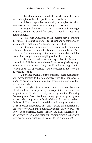#### *Making Disciples Of Oral Learners*

 *c.* Local churches around the world to utilize oral methodologies as they disciple their own members.

 *d.* Mission agencies to develop strategies for their missionaries and partners to use among oral learners.

 *e*. Regional networks to host conferences in strategic locations around the world for awareness building about oral methodologies.

 *f.* Regional partnerships and agencies to provide training in strategic locations to train local leaders and missionaries in implementing oral strategies among the unreached.

 *g.* Regional partnerships and agencies to develop a network of trainers to train other trainers in oral methodologies.

 *h.* Churches and agencies to record and distribute Bible stories for evangelization, discipling and leader training.

 *i.* Broadcast networks and agencies to broadcast chronological Bible stories and recordings of discipleship groups in house church settings. They should include dialogue which reflects culturally appropriate ways of processing the story and interacting with it.

 *j.* Funding organizations to make resources available for oral methodologies to be implemented with the thousands of language groups, people groups and segments of societies that are still unreached.

With the insights gleaned from research and collaboration, Christians have the opportunity to keep billions of unreached people from a Christless eternity in our generation. Following the examples of Jesus' teaching through parables, primary oral learners who comprise two-thirds of the world can comprehend God's word. The thorough method that oral strategies provide can assist in preventing syncretism. Oral learners can understand at their heart level, within their culture, what it means to follow Jesus. They can be discipled, become leaders and plant churches. Let us therefore go forth embracing oral communicators as partners, together making disciples of all peoples to the glory of God!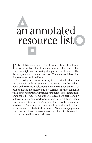# an annotated resource list<sup>o</sup>

IN KEEPING with our interest in assisting churches in ministry, we have listed below a number of resources that N KEEPING with our interest in assisting churches in churches might use in making disciples of oral learners. This list is representative, not exhaustive. There are doubtless other fine resources not listed here.

In a listing as diverse as this, it is inevitable that some resources will be better suited to a given situation than others. Some of the resources below focus on ministry among unreached peoples having no literacy and no Scripture in their language, while other resources are intended for audiences with significant amounts of literacy. Some of the resources have been carefully tailored for a specific worldview; others have not been. Some resources are free of charge while others involve significant purchases. Some are intensely practical and simple; others are academic and technical in nature. We encourage pastors, churches, missionaries, researchers, and others to discern what resources would best suit their needs.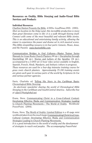# Resources on Orality, Bible Storying and Audio-Visual Bible Services and Product**s**

#### Individual Resources

Charlton Heston Presents the Bible. 4 DVDs. GoodTimes DVD. (1993). *Shot on location in the Holy Land, this incredible production is more than great literature come to life--it is a walk through history itself. Connect with some of the most beautiful and relevant Bible stories. This is an educational and entertaining family activity, allowing the viewer to experience the power and drama set to rich musical scores. This Bible storytelling resource is in four parts: Genesis, Moses, Jesus, and the Passion. www.hestonbible.com.*

Communication Bridges to Oral Cultures—Master Trainer Series Manuals for Grass Roots Church Planters (80 pp.), Discipleship through Storytelling (68 pp.), Stories and Letters of the Apostles (34 pp.), accompanied by a 3-DVD set (3 hour video series) available in English, Spanish, French, Hindi, Mandarin, and Amharic (others in progress). *These resources are used for a four-day intensive training course for grass roots church planters. Approximately 75-100 training events are given each year in various parts of the world by Scriptures In Use and various partner agencies.*

Davis, Charlotte ed. Telling His Story in the Caribbean Basin: Chronological Bible Storying.

 *An electronic newsletter sharing the world of Chronological Bible Storying in the Caribbean and South/Central America. Subscribe free at cdavi17@attglobal.net.*

Evans, Steve. Communicating Christ in a Cross-Cultural Context: Developing Effective Media and Communication Strategies Leading to Church Planting Movements / The World of Orality. Workbook/ PowerPoint. (2004).

Evans, Steve*.* The World of Orality: Limited Edition is a 43-page mini workbook taken from the much larger Communicating Christ in a Cross-Cultural Context: Developing Effective Media and Communication Strategies Leading to Church Planting Movements.

*It is a good introduction to the world of orality and the development of strategies to reach oral peoples. The accompanying PowerPoint*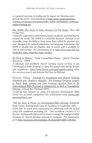*is a general overview of orality and its impact on Christian work around the world. Free download at http://www.communicationstrategy.net/synapse/documents/Files\_public.cfm?website=communi cation-strategy.net*

#### The HOPE: The Story of God's Promise for All People. Mars Hill Productions.

*Created in cooperation with motion picture producers and distributors around the world, The HOPE is a powerful dramatic overview of an incredible story–the Bible–a story many have called the greatest ever told. Designed for cultural adaptation and language translation, The HOPE is divided into 12 chapters and 36 events and is available in VHS or DVD format. For information go to* http://www.mars-hill.org/ media/the\_hope\_main/the\_hope\_set.htm.

My Place in HIStory. Study Course/Multi-Media. Lifeway Christian Resources. (1999).

*A videotape and workbook church training course on how to use Chronological Bible Storying to share the gospel with family, friends and neighbours.* https://www.lifeway.com/cgsp/english/catalog (then do a resource search and indicate *My Place in HIStory*).

Norwood, Johnny. Storying for Evangelism and Church Planting (Textbook and Teacher's Manual): For Training Christian Leaders to Teach Both Literate and Oral Oriented Learners How to Do Chronological Bible Storying in Antagonistic as Well as Sympathetic Settings. Chiang Mai, Thailand (2003).

*A step-by-step manual on using pre-selected chronological Bible stories for personal evangelism. For information write jnorwood@ gsnconsultants.com.*

\*Tell the Story: A Primer on Chronological Bible Storying. Workbook/ Study Course. International Center for Excellence in Leadership, 2003.

Learn how to reach oral communicators effectively with the gospel *using this workbook including CD. This workbook consists of 13 lessons, starting with the world of stories to using Chronological Bible Storying for church planting movement strategies. For information go to http://resources.imb.org/index.cfm/fa/prod/ProdID/1140.htm.*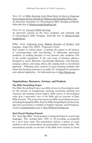Terry J.O. ed. Bible Storying: God's Word Story by Story to Empower Every Person Oral or Literate for Witness and Discipling Their Own. *An electronic newsletter on Chronological Bible Storying worldwide. Subscribe free at* biblestorying@sbcglobal.net.

Terry J.O. ed*.* Journal of Bible Storying.

*An electronic journal on the more academic and scholarly side of Chronological Bible Storying. Subscribe free at* biblestorying@ sbcglobal.net.

Willis, Avery*.* Following Jesus: Making Disciples of Primary Oral Learners. Audio CDs. (2003). Progressive Vision.

*Your answer to critical issues: 1) getting the gospel to all nations; 2) communicating with non-literates; 3) addressing syncretism problems; 4) making disciples of oral learners who comprise 70% of the world's population; 5) the next wave of missions advance. Designed to reach illiterates, functionally illiterates, semi-literates, storying cultures and many others who simply prefer a non-literate approach. Following Jesus consists of seven learning modules that frame this learning experience on audio CD! Designed for translation and cultural adaptation. For information go to http://fjseries.org.*

# Organizations, Resources, Services, and Products

# The Bible Storytelling Project

The Bible Storytelling Project uses Bible stories in chronological order for the purpose of evangelizing, teaching, preaching, planting new churches and training church leaders. Bible stories in chronological order give a panoramic view of the Bible and an overview of basic Bible doctrine. This project has numerous Bible storytelling resources, including*Storying the Bible: Tools for Bible Storytelling* by Jackson Day. Age-level curriculum is available in English, Spanish, and Portuguese. Contact jackday@pobox.com or http://biblestorytelling.org.

# Deaf Church Planting Network

The "Deaf Sign-Bible" visual program is being developed in several sign languages. This includes video, DVD or CD recording accompanied by a set of story cards. The presentation utilizes a system of iconic symbols to aid in memorization and presentation of gospel truths. The presentations provide an overview of the Bible from creation to Christ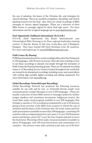the way of salvation, the basics of the Christian life, and strategies for church planting. This is an excellent evangelism, discipling, and church planting resource for the Deaf. Also, there are visual recordings of Bible messages in various signed languages. (These are a selection of short Bible stories or messages signed by native Deaf sign users). For more information and list of signed languages go to www.deafchurches.net.

#### Deaf Opportunity OutReach International (D.O.O.R.)

D.O.O.R. (Deaf Opportunity Out Reach International) uses Chronological Bible Storying in its three regional leadership-training centres: 1) Nairobi, Kenya, 2) San Jose, Costa Rica, and 3) Budapest, Hungary. They have trained 240 Deaf Christians from 44 countries. For more information go to www.DOORInternational.com.

#### Faith Comes By Hearing

FCBH has dramatized word-for-word recordings of the entire New Testament in 150 languages, with 50 more in process. They also have training on how to use these recordings to disciple oral people through the formation of Faith Comes By Hearing listening groups. There are 25 national recording teams in 12 Recording Service Centres located throughout the world that are trained to do dramatized recordings including music and sound effects with cutting edge portable digital recording and editing equipment. For more information visit www.fcbh.org**.**

#### Global Recordings Network/Gospel Recordings

Global Recordings Network has produced the following resources suitable for use with and by non- or minimally-literate people (oral communicators): *Gospel Messages* in over 5,500 languages. (These are usually a selection of short Bible stories or messages spoken by mother tongue speakers and sometimes incorporate indigenous music); the *Good News* audio-visual program available in over 900 languages (this includes a cassette or CD recording accompanied by a set of 40 pictures giving a brief overview of the Bible from creation to Christ the way of salvation and the basics of the Christian life); the *Look, Listen and Live* audio presentation (available in more than 300 languages, consisting of 8 cassettes with accompanying picture sets: parts 1-5 cover Old Testament stories and themes, parts 6 & 7 cover the four Gospels and part 8 covers the book Acts); *The Living Christ* audio-visual presentation (available in about 30 languages, with 120 loose leaf pictures and commentary on 2 cassettes – the pictures come with a printed script and a set of 20 short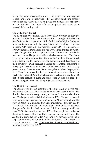lessons for use as a teaching resource). All pictures are also available as black and white line drawings. GRN also offers hand-wind cassette players for use where there is no power and batteries are expensive or not available. For more information, prices and orders go to www.globalrecordings.net.

#### The God's Story Project

The 80-minute presentation, *God's Story: From Creation to Eternity*, presents the Bible from Genesis to Revelation. Throughout the Old and New Testaments, this panorama of the Scriptures highlights God's plan to rescue fallen mankind. For evangelism and discipling. Available in video, VCD (video CD), audiocassette, audio CD. In total there are over 200 language translations of *God's Story* either finished, in various stages of negotiation or in script translation. This does not include the over one thousand languages that have also been requested. "Our desire is to partner with national Christians, willing to share the workload, to produce a tool for them to use for evangelism and discipleship in their country." TGSP features a village-size backpack containing a VCD player, *God's Story* on Video CD (VCD), a solar panel and a battery power source. These items enable an evangelist to deliver the gospel via *God's Story* to homes and gatherings in remote areas where there is no electricity! Optional PA with wireless mic projects sound clearly to 500 feet. Script, discussion guide and radio script are also available. For information go to www.Gods-Story.org or www.biblevideo.org.

#### The JESUS Film Project

The *JESUS Film* Project distributes the film "JESUS," a two-hour docudrama about the life of Christ based on the Gospel of Luke. The film has been seen in every country of the world and translated into over 870 languages since its initial release in 1979. The goal is to reach every nation, tribe, people, and tongue, helping them see and hear the story of Jesus in a language they can understand. Through use by The JESUS Film Project, and more than 1,500 Christian agencies, this powerful film has had more than 5 billion viewings worldwide since 1979. As a result, more than 197 million people have indicated decisions to accept Christ as their personal Savior and Lord. The *JESUS* film is available in video, VCD, and DVD formats, as well as in a special children's edition and audio-radio format. Other resources are available as well. Go to http://www.jesusfilmstore.com/Merchant2/ merchant.mvc?Screen=SFNT.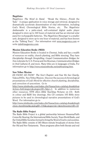#### **MegaVoice**

MegaVoice: *The Word in Hand*. "Break the Silence…Finish the Task." A unique application in voice storage and retrieval, designed to dramatically accelerate dissemination of vital information, including God's Word, Chronological Bible Stories, etc. The *MegaVoice Ambassador* is a palm-sized, self-contained digital audio player designed to store up to 160 hours of material and has an internal solar panel for rechargeable batteries. The *MegaVoice Messenger* is a smaller unit, designed to store up to one hour of material, and has been known as the "Talking Tract." For information visit www.megavoice.com or write info@megavoice.com.

#### Mission Education Books (MEB)

Mission Education Books is located in Chennai, India and has a wealth of resources on orality, church planting, and Bible storying. They have *Discipleship through Storytelling*, *Gospel Communication Bridges for Non-Literates* by S. D. Ponraj and Jim Bowman, *Communication Bridges to Oral Cultures II*, and more. Many titles are in languages of India. For information go to http://www.missionbooks.net/pubtraining.htm.

#### New Tribes Mission

*EE-TAOW!; EE-TAOW! The Next Chapter;* and *Now We See Clearly*. Videos/DVDs. New Tribes Mission. Discover the success of chronological presentations of God's Word for effective church planting, discipleship, and correction of syncretism. Go to

http://www.ntmbooks.com/index.cfm?fuseaction=catalog.shop&shop Action=listCategory&categoryID=5&sr=1. In addition to numerous other resources, NTM offers *Bible Teaching Pictures* on CD. Both in colour and B&W line drawings, this CD contains 105 Bible story pictures to be used in chronological narrative presentations of God's Word. For information go to

http://www.ntmbooks.com/index.cfm?fuseaction=catalog.shop&shopA ction=itemDetail&catalogID=116&categoryid=1&myInventoryID=33

#### The Radio Bible Project

The Radio Bible Project is a global partnership between Hosanna/Faith Comes By Hearing, the International Bible Society, Trans World Radio, and the United Bible Societies formed to bring the Word of God to oral societies. The Radio Bible consists of 365 fifteen-minute broadcasts of stories from the Old and New Testaments. These programs allow both literate and oral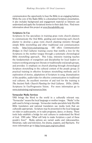communicators the opportunity to hear the Bible in an engaging fashion. While the core of the Radio Bible is a dramatized Scripture presentation, it also includes background and engagement material so listeners can understand and apply the Scriptural stories to their daily lives. Find more information about this project at www.theradiobible.org.

#### Scriptures In Use

Scriptures In Use specializes in training grass roots church planters to communicate the Oral Bible, guiding and mentoring each church planter to develop a grass roots church planting ministry through simple Bible storytelling and other traditional oral communication media. http://www.siutraining.org. SIU offers *Communication Bridges to Oral Cultures* training course that instills a love for the Scriptures in the mother tongue through a systematic chronological Bible storytelling approach. This 4-day, intensive training teaches the fundamentals of evangelism and discipleship for local leaders or trainers working among non-literate or traditionally oral people groups, and provides: 1) emphasis on church planting through chronological Scripture storytelling in the cultural context of the people group; 2) practical training in effective Scripture storytelling methods; and 3) exploration of stories, adaptations of Scripture in song, dramatization of the parables, audio/video for effective communication to traditional oral cultures. An excellent overview of and tool for the training is *The Ancient Path: Church Planting for Oral Cultures.* DVDs. (2004). Scriptures In Use/Progressive Vision. For more information go to www.siutraining.org/resources.htm.

#### Vernacular Media Services

VMS brings the Word to the world in a culturally relevant way. "Vernacular" means the local language or mother tongue. "Media" is the path used to bring a message. Vernacular media specialists help Wycliffe Bible translators and national translators use media tools that are culturally appropriate. Scripture may be presented in the local language on video or audiocassette, or in radio programs, dance, or drama. These tools help establish a bridge for oral cultures to understand the Word of God. VMS asks: "What will help to make Scripture a part of these people's lives?" Media options are varied: audio and videocassettes, filmstrips, radio and television, live drama, puppets, and flipcharts. For more information go to http://www.jaars.org/vern.shtml.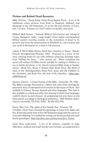# Pictures and Related Visual Resources

*Bible Pictures.* Hong Kong: Hong Kong Baptist Press. A set of 40 traditional colour pictures from Noah to Shadrach, Meshach, and Abednego in the Old Testament, 17 on the life and ministry of Jesus, and 7 on Acts. Pictures are 12x17 inches on durable card stock.

*Biblical Wall-Posters*. National Biblical Catechetical and Liturgical Centre, Bangalore, India. Large bright colour Indian contextualized biblical posters covering creation to the restoration of Israel in 51 pictures and from the annunciation to Elizabeth to a new heaven and new earth in Revelation for a total of 140 pictures.

*Colour It Tell It Bible Stories; Book One: Creation to Moses.* Manila: Church Strengthening Ministry, 1992. Projected as a series of five story coloring books for use with children using line drawings taken from "Telling the Story..." color picture set. When completed the series will contain 103 Bible stories suitable for reading to children, to use in family devotions, or for church-centered Bible study or Sunday school. (Book Two: *Moses to Roman Rule*; Book Three: *The Birth of Jesus to the Transfiguration*; Book Four: *Jesus and the Children to the Ascension*; and Book Five: *the Acts of the Apostles*.) http://csmpublishing.net.

Dawson, David L. *A Visual Survey of the Bible.* Greenville, TX, 1982. The Bible's message illustrated in a fifteen foot color chart showing the panoramic story of redemption from creation to the return of Christ. Also available in Chinese, Korean, Spanish and other languages. The chart is also available as a black and white line drawing in which local languages could be drawn in and coloured. Accompanying text and choice of end times panels according to theological preference. 4400 Moulton Street, Suite D. Greenville, TX (USA) 75401. Tel 903-455-3782.

Farris, Mary Lou. *The Adam & Eve Family Tree.* Norman, OK. A helpful colour chart showing the genealogy of Jesus from Adam and Eve. It lists the family lines of the Old Testament along with the names of wives and offspring. It is helpful for sorting out the patriarchal and royal family genealogies. http://members.aol.com/tmcorner2/a-e\_ft.htm.

*Good News* audiovisual - A set of 40 pictures, available in large (flipchart), medium and small (pocket size) formats, accompanied by a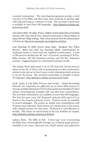#### *Making Disciples Of Oral Learners*

recorded 'commentary'. The story-based programme provides a brief overview of the Bible and then some basic teaching on getting right with God and living as a follower of Jesus. The recorded commentary is available in more than 900 languages. http://globalrecordings.net/ au/prod-gn.html.

*Life of Jesus Mafa.* Versailles, France. Highly contextualized African teaching pictures with Jesus and all story characters portrayed as African Blacks in typical African village settings. Sixty colour pictures from the Annunciation to Pentecost. http://www.jesusmafa.com/anglais/accueil.htm.

*Line Drawings for Bible Stories Asian Style.* Bangkok: New Tribes Mission. Black and white line drawings lightly contextualized for Southeast Asians in 11x16 inch size supplied as photocopies. A total of 389 pictures divided into 46 "sets" of pictures consisting of 38 Pre-Bible pictures, 193 Old Testament pictures and 158 New Testament pictures. Suggested guide for colouring the pictures locally.

*The Living Christ* audiovisual–A set of 120 loose leaf, A4 size pictures based on the life of Christ with accompanying recorded commentary, printed script and set of short lesson scripts indicating which pictures to use for the lesson. The recorded commentary is available in about 30 languages. http://globalrecordings.net/au/prod-tlc.html.

*Look, Listen & Live* Bible Pictures and Scripts. Global Recordings Network, Inc. (Australia) An eight-part set of colour Bible pictures (2 formats available: flipcharts [17x13 inches] and picture booklets [5.5x8.5 inches] chronologically arranged with recorded story commentaries. The recorded commentaries are available in more than 200 languages. The first five parts cover Old Testament material while parts 6-8 are based on the Gospels and book of Acts. Printed scripts are available in several languages. The scripts are simple story presentations with Scripture base indicated. Each picture set contains four or five stories with multiple pictures for each story. 24 pictures in each flipchart or booklet. Flip charts are spiral bound at the top; booklets are stapled. http://globalrecordings.net/au/prod-lll.html.

Lukens, Betty. *The Bible in Felt*. A three-year cycle of presenting the Bible story chronologically through use of flannel graph pictures. Available in two sizes--classroom size (16x24 inches) and auditorium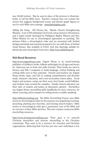size (32x48 inches). May be used in place of flat pictures to illustrate, build, or tell the Bible story. Teacher's manual does not contain the stories but suggests background scenes and flannel graph figures to use for each Bible story passage. www.bettylukens.com.

*Telling the Story.* 105 Picture Set. Manila: Church Strengthening Ministry. A set of 105 individual 17x13 inch colour pictures (103 pictures and 2 maps) jointly developed by Philippine Baptist Mission and New Tribes Mission for use in chronological approaches to teaching. The pictures follow a chronological order and are presented with limited background detail and minimal perspective for use with those of limited visual literacy. Also available in 8.5x11 inch line drawings suitable for photocopy and colouring by local users. http://csm-publishing.net.

# Web-Based Resources

http://www.augusthouse.com: August House is an award-winning publisher of children's books, folktale anthologies for all ages and stories for classroom use in book and audio formats. Their books are used in literacy and Title I programs to build language, critical thinking and writing skills even as they entertain. Parents and teachers use August House books, tapes, and CDs in reading comprehension and diversity study, character education, and cross-curriculum lesson plans. Scout leaders and summer camps use their scary story books, world folktales, and trickster tales around the campfire. Sunday School educators use their tales of wisdom and justice as discussion openers. Storytellers use August House storytelling skills handbooks for story resources, for ethnic sourcing, and to prepare for telling stories or public speaking.

http://biblestorytelling.org: The Bible Storytelling Project uses Bible stories in chronological order for the purpose of evangelizing, teaching, preaching, planting new churches, and training church leaders. Bible stories in chronological order give a panoramic view of the Bible and an overview of basic Bible doctrine. This site contains numerous Bible storytelling resources.

http://www.christianstorytelling.com: Their goal is to network Christian storytellers and nurture storytelling in the Christian community. They want to be a resource for churches and Christian organizations. Believing that God has put into each individual a love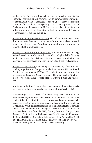for hearing a good story, this web site and its creator, John Walsh, encourage storytelling as a powerful way to communicate God's grace to others. John Walsh is dedicated to offering a free story each month, resources for developing storytelling skills, and a growing list of Christian storytellers across the U. S. who are available to perform and to train others in storytelling. Storytelling curriculum and Christian school resources are also available.

http://chronologicalbiblestorying.com: The official Chronological Bible Storying website. Contains training manuals, story sets, advice, research reports, articles, readers, PowerPoint presentations and a number of other helpful training resources.

http://www.communication-strategy.net: The Communication Strategy Network carries a number of articles on Chronological Bible Storying, orality and the use of media for effective church planting strategies; has a number of free downloads; and uses e-newsletter--free by subscription.

http://www.OneStory.org: OneStory was founded by four missionsending organizations: Campus Crusade, International Mission Board, Wycliffe International and YWAM. The web site provides information on Quest, Venture, and Journey options. The main goal of OneStory is to provide God's Word for oral learners without Bibles and who are lost.

http://www.mediastrategy.org: Mediastrategy is produced by media strategist Dan Henrich of Liberty University; stays current through active blog.

www.nobs.org: The Network of Biblical Storytellers (NOBS) is an international organization whose mission is to communicate the sacred stories of the biblical tradition. It was formed nearly twenty years ago by people searching for ways to experience and hear anew the word of God as narrative. NOBS develops resources for telling biblical stories through audio, video and computer technologies as well as telling them face-toface. Members come from the USA, Canada, Australia, Europe, Japan, Singapore, South Africa, the Philippines, and New Zealand. NOBS sponsors the Journal of Biblical Storytelling (http://www.nobs.org/journal.htm). P.O. Box 413, Brookville, OH 45309 (USA). TEL 937-833-4141 or 1-800-355- NOBS (from USA); FAX 937-833-5603; nobsint@nobs.org.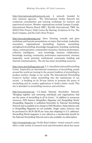http://internationaloralitynetwork.com: A network founded by nine missions agencies. The International Orality Network has conducted consultations and training workshops for learners and experienced storyers. Member organizations include Campus Crusade, International Mission Board (SBC), Wycliffe International, TWR, the JESUS Film Project, Faith Comes By Hearing, Scriptures In Use, The Seed Company, and the God's Story Project.

http://www.stevedenning.com: Steve Denning consults and gives workshops and keynote presentations on topics that include: leadership, innovation, organizational storytelling, business storytelling, springboard storytelling, knowledge management, branding, marketing, values, communication, communities of practice, business performance, collective intelligence, tacit knowledge, business collaboration, knowledge, learning, community, performance improvement, visionary leadership, social potential, institutional community building and internal communications. The site has many storytelling resources.

http://www.storytellingcenter.net: U. S.-based International Storytelling Centre. Inspired by an international renaissance of storytelling, people around the world are turning to the ancient tradition of storytelling to produce positive change in our world. The International Storytelling Center-to further infuse storytelling into the mainstream of our society - is building on its 30-year history to promote the power of storytelling and its creative applications to build a better world. This site is abundant in storytelling resources and activities.

http://www.storynet.org: U.S.-based National Storytellers Network. "Bringing together and nurturing individuals and organizations that use the power of storytelling in all its forms." In addition to numerous resources, NSN features *Storytellers Magazine* and *Storytelling World*. *Storytelling Magazine* is published bimonthly by National Storytelling Network and is available at no charge to NSN Members. Subscriptions only to *Storytelling Magazine* are not available. Single copies, however, may be purchased for \$6.50 (\$4.95 per issue plus shipping) to U.S. addresses. Storytelling World magazine is now offered as a membership benefit for the National Storytelling Network and is also available via subscription.

http://strategyleader.org: Orville Boyd Jenkins' virtual research centre offers a wide variety of research tools and information about key issues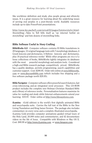like worldview definition and study, plus people group and ethnicity issues. It is a great resource for learning about the underlying issues of serving oral peoples in a post-literate world. Available resources include up-to-date PowerPoint presentations.

http://www.kn.pacbell.com/wired/fil/pages/liststorytelvi.html: Storytelling—Tales to Tell bills itself as "an internet hotlist on storytelling" and lists dozens of storytelling links.

# Bible Software Useful in Story Crafting

BibleWorks 6.0 - Computer software contains 93 Bible translations in 29 languages, 12 original language texts with 7 morphology databases, 6 Greek lexicons and dictionaries, 4 Hebrew lexicons and dictionaries, plus 18 practical reference works! While other programs are m e r e l y loose collections of books, BibleWorks tightly integrates its databases with the most powerful morphology and analysis tools. Considered a high-end Bible research package competitively priced, BibleWorks has a quality database, permits programming, search capabilities and customer support. Cost: \$299.95. Order info online at www.bibleworks. com or www.discountbible.com (which includes free shipping and a free software package worth \$29.95).

Bible Navigator - Computer software offers powerful search features, fast cross-referencing, and an integrated word processor. This CD-ROM product includes the complete new Holman Christian Standard Bible and a library of reference works. Personalization features maximize its value for reading and study while Internet-enhancements extend your learning. \$19.97. Order online at http://www.lifewaystores.com.

**iLumina** - (Gold edition) is the world's first digitally animated Bible and encyclopedia suite. Carries the full text of the Bible in the New Living Translation and King James Version. The package also includes commentary on every verse and a complete illustrated encyclopedia. iLumina Gold provides computer animations guided virtual tours of the Holy Land, 20,000 notes and commentaries, and 42 documentary videos on the life of Jesus. Compatible with Windows or Mac OS X. Cost: \$89.99 at http://www.iLumina.com or www.Amazon.com.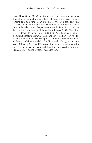Logos Bible Series X - Computer software can make your personal Bible study easier and more productive by giving you access to more content and by acting as an automated "research assistant" that searches, organizes and presents that content in ways that accelerate your study and draw you deeper into the word. Series X lets you have different levels of software - Christian Home Library (\$150), Bible Study Library (\$250), Pastor's Library (\$300), Original Languages Library (\$400) and Scholar's Libraries (\$600) and Silver Edition (\$1,000). The Silver edition contains everything in the X Series; each series builds on the next. (Prices rounded.) The Bible Study Library, for instance, has 115 Bibles, a Greek and Hebrew dictionary, several commentaries, and references that normally cost \$2,500 in purchased volumes for \$249.95. Order online at http://www.logos.com.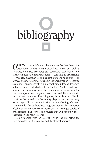# bibliography

ORALITY is a multi-faceted phenomenon that has drawn the attention of writers in many disciplines. Historians, biblical scholars, linguists, psychologists, educators, students of folk tales, communications experts, business consultants, professional storytellers, missionaries, and leaders of emerging churches: all of these and more have written about the phenomenon we refer to as orality. Consequently this bibliography includes a wide variety of books, some of which do not use the term "orality" and many of which have no concern for Christian ministry. Members of the Lausanne special interest group have found useful information in each of them, however. If nothing else, this wide array of books confirms the central role that orality plays in the contemporary world, especially in communication and the shaping of values. Thus far only a few authors have sought to draw on this wide array of scholarship to improve our effectiveness in making disciples of oral learners. But work is in progress that will hopefully meet that need in the years to come.

Books marked with an asterisk (\*) in the list below are recommended for Bible college and theological libraries.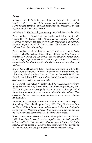# Books

Anderson, John R. Cognitive Psychology and Its Implications. 4<sup>th</sup> ed. New York: W. H. Freeman, 1995. *In Anderson's discussion of cognitive schemata and worldview, one can understand the importance of story repetition in the avoidance of error.*

Baddeley, A. D. The Psychology of Memory. New York: Basic Books, 1976.

Baush, William J. Storytelling: Imagination and Faith. Mystic, CT: Twenty-Third Publications, 1984. *Bausch refers to a wealth and breadth of stories to capture and pass on from one generation to another the wisdom, imagination, and faith of a people. This is a book of stories as well as a book about storytelling.*

Baush, William J. Storytelling the Word: Homilies & How to Write Them*.* Mystic-Connecticut: Twenty-Third Publications, 1996. *This book contains 42 homilies and 130 stories used to instruct the reader in the art of storytelling combined with narrative preaching. An appendix correlates the homilies to specific liturgical seasons and a lectionary of readings.*

Bilmes, Jack and Stephen T. Boggs. "Language and Communication: The Foundations of Culture." In Perspectives on Cross-Cultural Psychology*,* ed. Anthony Marsella, Roland Tharp, and Thomas Ciborowski, 47-76. New York: Academic Press, 1979. *The authors identify the reality of culture as systems of knowledge in persons' minds.*

Birch, Carol L. and Melissa A.Heckler, eds. *Who Says?: Essays on Pivotal Issues in Contemporary Storytelling*. Little Rock: August House, 1990. *The editors provide ten essays by various writers addressing critical issues in an increasingly potent movement–that of storytelling. They assert that the movement is young and there is no common vocabulary for discussion.*

\*Boomershine, Thomas E. Story Journey. An Invitation to the Gospel as Storytelling. Nashville: Abingdon Press, 1988. *Using illustrations from the Gospel of Mark, Boomershine makes an excellent case for telling the gospel as stories. He gives practical instruction on learning, remembering, and telling biblical stories for a variety of ministry purposes.*

Breech, James. Jesus and Postmodernism. Minneapolis: Augsburg Fortress, 1989. *James Breech traces Jesus the storyteller. He looks to the parables of Jesus and their divine uniqueness, their narrative integrity, their truth, and their ethical stance. In this work, the author engages two movements in contemporary theology: postmodernism and narrative theology.*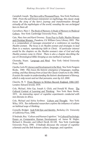Campbell, Joseph. The Hero with a Thousand Faces. New York: Pantheon, 1949. *From the well-known interpreter on mythology, this classic study traces the story of the hero's journey and transformation through virtually all the mythologies of the world, revealing the one archetypal hero in them all.*

Carruthers, Mary J. The Book of Memory: A Study of Memory in Medieval Culture. New York: Cambridge University Press, 1992.

Cate, Mary Ann and Karol Downey. From Fear to Faith: Muslim Women and Christian Women. Pasadena, CA: William Carey Library, 2003. *This is a compendium of messages presented at a conference on reaching Muslim women. The focus is on Muslim women and strategies to lead them to a mature, reproducing faith in Christ. Of particular interest would be the chapters on the Muslim woman's view of God and why Muslim women come to Christ. There is also a chapter describing the use of Chronological Bible Storying as one method of outreach.*

Chomsky, Noam. Language and Mind. New York: Oxford University Press, 1968.

Cipolla, Carlo M. Literacy and Development in the West. New York: Penguin Books. 1969. *This traces the historic emergence of languages, reading, writing, and thus literacy from at least the Classic Greek era to the 1900s. It assists the reader in understanding the historic development of literacy, which is only recent and not that pervasive, even by A.D. 2000.* 

Clanchy, M. T. From Memory to Written Record: England, 1066-1307. London: Edward Arnold, 1979.

Cole, Michael, John Gay, Joseph A. Glick, and Donald W. Sharp. The Cultural Context of Learning and Thinking*.* New York: Basic Books, 1971. *An interesting report of cognitive experiments conducted with non-literates in Africa.*

Cole, Michael and Sylvia Scribner. Culture and Thought. New York: Wiley, 1974. *Two influential researchers explore the influence of culture on habitual ways of thinking.*

Connelly, Bridget. Arab Folk Epic and Identity. Berkeley, CA:University of California Press, 1986.

D'Andrade, Roy. "Culture and Human Cognition." In Cultural Psychology: Essays on Comparative Human Development*,* ed. James W. Stigler, Richard A. Shweder, and Gilbert Herdt, 65-129. New York: Cambridge University Press, 1990. *D'Andrade discusses the concept of cognitive schemata and the link between culture, language, and cognition.*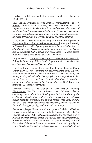Davidson, J. A. Literature and Literacy in Ancient Greece. Phoenix 14 (1962), nos. 3-4.

Davis, Donald. Writing as a Second Language: From Experience to Story to Prose. Little Rock: August House, 2000. *Davis addresses the issue of language arts in schools, where focus is on reading and writing instead of nourishing the whole oral and kinesthetic realm, that of spoken language. He argues that talking and writing are not to be mutually exclusive in language development and lays out a method to address the issue.*

Egan, Kieran. Teaching as Storytelling: An Alternative Approach to Teaching and Curriculum in the Elementary School*.* Chicago: University of Chicago Press, 1986. *Egan argues the case for storytelling from an educational perspective, contending that stories are a very sophisticated way of developing both intellect and imagination. He gives special attention to using storytelling across the curriculum.*

\*Enyart, David A. Creative Anticipation: Narrative Sermon Designs for Telling the Story. N. p.: Xlibris, 2002. *Enyart introduces preachers to a variety of ways to preach biblical narratives.*

Finnegan, Ruth. Limba Stories and Storytelling. London: Oxford University Press, 1967. *This is the best book for looking inside a specific socio-linguistic culture in West Africa to see the issues of orality and literacy as they existed within these people. It is a very scholarly, but practical and easy to read book. An influential study of storytelling practices and their impact in the Limba culture of West Africa, it is widely quoted within the discipline.*

Freidman, Thomas L. The Lexus and the Olive Tree: Understanding Globalization. New York: Anchor Books, 1999. *This book offers an engrossing look at the international system that is transforming the world today–globalization. With vivid stories drawn from his extensive travels, Friedman dramatizes the conflict between "the Lexus and the olive tree"--the tension between the globalization system and the ancient forces of culture, geography, tradition, and community.*

Gerhardsson, Birger, Memory and Manuscript: Oral Tradition and Written Transmission in Rabbinic Judaism and Early Christianity*.* Copenhagen: Gleerup and Lund, 1961. *Gerhardsson deals with the respective roles of memory and manuscripts, orality and literacy from the Abrahamic era to well beyond the New Testament era. He gives a detailed, technical description of the careful, conscious process of transmitting religious instruction during the biblical period and beyond. Frequently dismissed*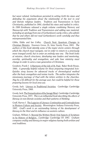*but never refuted, Gerhardsson persisted in setting forth his views and defending his arguments about the relationship of the text to oral and literate religious leaders.* Tradition and Transmission in Early Christianity*, published in 1964, clarified his views and replied to critics. In 1998 Eerdmans released a single volume combining* Memory and Manuscript *with* Tradition and Transmission *and adding new material, including an apology from one of Gerhardsson's early critics, who admits that he and others did not read Gerhardsson's work carefully and thus misrepresented him.* 

Gibbs, Eddie and Ian Coffey. Church Next: Quantum Changes in Christian Ministry. Downers Grove, IL: Inter Varsity Press, 2001. *The authors of this book identify some of the major storm centers through which the church must navigate, not in order to return to a previously more tranquil world, but to enter an entirely new one. The book looks at mission, church structures, developing new leaders and mentoring, worship, spirituality and evangelism, and asks how ministry must change in order to serve a new generation of Christians.*

Goodwin, Frank J. A Harmony of the Life of St. Paul.Baker Book House, 1960. *A generally helpful volume for those preparing integrated Acts-Epistles story lessons for advanced tracks of chronological method after the basic evangelism and review tracks. The author integrates the missionary journeys of Paul with the letters written to the churches. May be a bit difficult for the average user, but could be helpful for those preparing lessons for local area use.*

Goody, Jack. Literacy in Traditional Societies*.* Cambridge: Cambridge University Press, 1968.

Goody, Jack. The Domestication of the Savage Mind*.* Cambridge: Cambridge University Press, 1977. *This is an influential book describing the effects of literacy on non-literate societies and their patterns of thinking.*

Graff, Harvey J. The Legacies of Literacy: Continuities and Contradictions in Western Culture and Society*.* Bloomington: Indiana University Press, 1987. *Graff's work is an outstanding history of the development of literacy in the West and its influence on western culture.*

Graham, William A. Beyond the Written Word: Oral Aspects of Scripture in he History of Religion. Cambridge: Cambridge UP, 1987. *Graham compares orality and literacy in major religions having both written and oral traditions.*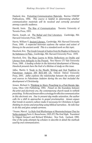Haaland, Ane. Pretesting Communication Materials. Burma: UNICEF Publications, 1984. *This source is helpful in determining whether communication materials will be received and correctly perceived among a specific audience.*

Harold, Innis. The Bias of Communication*.* Toronto: University of Toronto Press, 1951.

Harris, Joseph, ed. The Ballad and Oral Literature. Cambridge, MA: Harvard University Press, 1991.

Harris, William V. Ancient Literacy. Cambridge, MA: Harvard University Press, 1989. *A respected historian explores the nature and extent of literacy in the ancient world. This is a standard work on this topic.*

Havelock, Eric. The Greek Concept of Justice from Its Shadow in Homer to Its Substance in Plato. Cambridge, MA: Harvard University Press. 1978.

Havelock, Eric. The Muse Learns to Write: Reflections on Orality and Literacy from Antiquity to the Present.New Haven: CT: Yale University Press, 1988. *A leading scholar in the historical development of literacy, Havelock presents here the fruit of a lifetime of study on this issue.*

Jaffee, Martin S. Torah in the Mouth: Writing and Oral Tradition in Palestinian Judaism 200 BCE-400 CE. Oxford: Oxford University Press, 2001. *Jaffee explores the relationship between the written and oral sources in Palestinian Judaism during the era that included the development of Christianity.*

Jensen, Richard A. Thinking in Story: Preaching in a Post-literate Age. Lima, Ohio: CSS Publishing, 1993. *Poised on the boundary between the print and electronic era, the contemporary church needs to rethink preaching. To this end Jensen offers a strategy for effective communication in this electronic era. Due to present-day media saturation, the author calls for a shift in approaches to gospel proclamation. Jensen argues that trends in western culture make it necessary for Christians to begin thinking in stories and preaching using biblical narratives. He tells how to do this and gives sample sermons.*

\*Jousse, Marcel. Le Style Oral Rhythmique et Mnemotechnique Chez les Verbo-moteurs Paris: G. Beauchesne, 1925; ET, *The Oral Style.* Translated by Edgard Sienaert and Richard Whitaker. New York. Garland, 1990. *One of the early attempts by scholars to describe in detail the methods used by oral communicators.*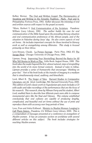Kelber, Werner. The Oral and Written Gospel: The Hermeneutics of Speaking and Writing in the Synoptic Tradition. Mark. Paul and Q. Philadelphia: Fortress Press, 1983. *Kelber discusses the interplay of oral and written sources with respect to the gospel accounts.*

\*Klem, Herbert V. Oral Communication of the Scripture*.* Pasadena: William Carey Library, 1982. *The author builds his case for oral communication of the Bible based upon the prevailing literacy situation and oral communication preferences of the African people, and of the situation in Palestine during Jesus' day. He also covers aspects of oral art forms. He includes important concepts for those involved in literacy work as well as evangelizing among illiterates. This study is focused primarily on West Africa.*

Levy-Strauss, Claude. La Pensee Sauvage. Paris: Plon, 1962; ET, The Savage Mind. Chicago: University of Chicago Press, 1966.

Lipman, Doug. Improving Your Storytelling: Beyond the Basics for All Who Tell Stories in Work or Play. Little Rock: August House, 1999. *This book takes the reader beyond the first, almost natural, steps of storytelling into the world of its more formal contexts. Instead of rules to follow, Lipman provides a series of frameworks that encourages "thinking on your feet." Part of the book looks at the transfer of imagery in a medium that is simultaneously visual, auditory, and kinesthetic.*

Lord, Albert B. The Singer of Tales. Harvard Studies in Comparative Literature, vol. 24. 2ded. Cambridge, MA: Harvard University Press, 2000. *This edition of Lord's classic work on Yugoslavian epic poets includes a CD with audio and video recordings of the performances that are the focus of his research. This research, done by Milman Parry and his student, Albert Lord, enabled them to describe how illiterate poets were able to compose monumental epics like the* Iliad *and* Odyssey*. This volume established conclusively that oral cultures are capable of producing lengthy, complicated, and beautiful oral art forms without the use of print and reproduce them with accuracy over long periods of time.*

Love, Fran and Jeleta Eckheart. Ministry to Muslim Women: Longing to Call Them Sisters. Pasadena, CA: William Carey Library, 2000. *This is a compendium of messages presented at a conference on evangelism of Muslim women. It has an extensive section on worldview with several different articles on this subject. The book includes strategies for reaching Muslim women.*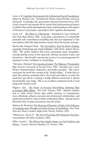Luria, A. R. Cognitive Development: Its Cultural and Social Foundations*.*  Edited by Michael Cole. Translated by Martin Lopez-Morillas and Lynn Solotaroff. Cambridge, MA, and London: Harvard University Press, 1976. *Luria's research into peasant life in central Asia had pronounced impact on Walter Ong and the development of later understandings of the impact of literacy on oral peoples, especially in their cognitive development.*

Luria, A. R. The Mind of a Mnemonist. Translated by Lynn Solotaroff. New York: Basic Books, 1968. *Luria gives a description of a remarkable journalist who remembered everything that had ever happened to him and explores what that phenomenon reveals about the human memory.*

MacDonald, Margaret Read. The Storyteller's Start-Up Book: Finding, Learning, Performing and Using Folktales. Little Rock: August House, 1993. *The author believes that every community needs storytellers, actively sharing stories in the classroom, library, recreation centre, and boardroom. MacDonald's step-by-step process is an encouragement for beginners to have confidence in storytelling.*

\*McLuhan, Marshall. The Gutenberg Galaxy: The Making of Typographic Man*.* Toronto: University of Toronto Press, 1962. *McLuhan was a wellknown communications, linguistics, and media specialist. This classic work gave the world the concept of the "global village." It looks back at what the printing revolution did to the world and reflects on what the electronic age will do--creating a totally different world that is almost inconceivable even today. This is an excellent companion book to read along with Cipolla's work.* 

Maguire, Jack. The Power of Personal Storytelling: Spinning Tales to Connect With Others. New York: Putnam, 1988. *Maguire explains how to mine stories buried deep within memory to communicate more effectively, enhance personal and professional relationships, and understand oneself in order to better understand others. Step by step he illustrates how to shape and express true-life stories*.

Malinowski, Bronislaw The Meaning of Meaning: A Study of the Influence of Language upon Thought and of the Science of Symbolism. New York: Harcourt, Brace; London: Kegan Paul, Trench, Trubner, 1923.

\*Mathewson, Steven D. The Art of Preaching Old Testament Narrative. Grand Rapids, MI: Baker Academic, 2002.

Miller, Joseph C. The African Past Speaks: Essays on Oral Tradition and History. London: Dawson; Hamden, CT.: Archon, 1980.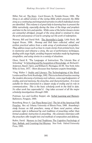Miller, Ted, ed. The Story. Carol Stream, IL: Tyndale House, 1986. *The Story is an edited version of the Living Bible which presents the Bible story as a continuing and integrated narrative in which individual stories are identified. This volume is of great help in learning how to present the Bible narratively, especially during the time of the kings and prophets and later in the Acts and epistles. While some of the better-known stories are somewhat abridged, enough of the story detail is retained to show the work and purpose of God in carrying out His work of redemption.*

Mooney, Bill and David Holt. The Storyteller's Guide. Little Rock, AR: August House, 1996. *Mooney and Holt have collected, edited, and written practical advice from a wide array of professional storytellers. They address issues such as how to create stories from printed texts, how to memorize and rehearse a story, the use of performance techniques, dealing with stage fright, avoiding frequent mistakes made by beginning storytellers, and using stories in a variety of situations.*

Olson, David R. "The Languages of Instruction: The Literate Bias of Schooling." In Schooling and the Acquisition of Knowledge*,* ed. Richard C. Anderson, Rand J. Spiro, and William E. Montague, 65-98. New York: John Wiley & Sons, 1977. *Olson discusses how humans acquire knowledge.*

\*Ong, Walter J. Orality and Literacy: The Technologizing of the Word*.*  London and New York: Routledge, 1982. *This is a technical treatise covering the modern discovery of primary oral cultures, some psychodynamics of orality, and oral memory, the story line, and characterization. It is more suitable for those interested in a deeper study of orality and its role in communication. This is the basic scholarly work in the field to date. No other work has superseded it. Ong takes account of all the major scholarly investigations through 1980.* 

Postman, Leo and Geoffrey Keppel, eds. Verbal Learning and Memory. Baltimore, Penguin, 1969.

Rosenberg, Bruce A. Can These Bones Live? The Art of the American Folk Preacher. Rev. ed. Urbana: University of Illinois Press, 1988. *Rosenberg's study focuses on folk preachers, many of them rural pastors, whose sermonic style is influenced by oral traditions of preaching rather than formal academic instruction in preaching. His extensive interviews with the preachers offer insight into oral methods of composition and delivery.*

Rubin, David. Memory in Oral Traditions: The Cognitive Psychology of Epic, Ballads, and Counting-Out Rhymes*.* New York: Oxford University Press, 1995.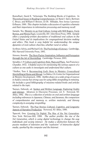Rumelhart, David E. "Schemata: The Building Blocks of Cognition. In Theoretical Issues in Reading Comprehension*,* ed. Rand J. Spiro, Bertram C. Bruce, and William F. Brewer, 33-58. Hillsdale, New Jersey: Lawrence Erlbaum, 1980. *This chapter includes a discussion of cognitive schemata and their importance in information processing and memory recall.*

Sample, Tex. Ministry in an Oral Culture: Living with Will Rogers, Uncle Remus, and Minnie Pearl. Louisville, KY: John Knox Press, 1994. *Sample offers a popularly-written description of traditional oral culture in the United States and its implications for congregational decision making and ethics. This book is very helpful for understanding the unique dynamics of oral-culture churches, whether rural or urban.*

Scribner, Sylvia, and Michael Cole. The Psychology of Literacy*.* Cambridge, MA: Harvard University Press, 1981.

Simons, Annette. The Story Factor: Inspiration, Influence and Persuasion through the Art of Storytelling. Cambridge: Perseus, 2001.

Spradley, J. P. Culture and Cognition: Rule, Maps and Plans. San Francisco: Chandler, 1972. *A helpful source for envisioning the various aspects of a culture as one seeks to investigate and understand that culture.*

\*Steffen, Tom A. Reconnecting God's Story to Ministry: Crosscultural Storytelling at Home and Abroad. La Habra, CA: Center for Organizational & Ministry Development, 1996. *Steffen draws on a wide array of sources to build a concise but strong case for using Bible storytelling in ministry. He includes a good bibliography of missions-related books and articles related to the topic.*

Tannen, Deborah, ed. Spoken and Written Language: Exploring Orality and Literacy. Advances in Discourse Processes, vol. 9. Norwood, NJ: Ablex, 1982. *This is a collection of articles on oral and written language including references to Japanese, Chinese, and Javanese, the comparison of comprehension and memory vs. written materials, and literary complexity in everyday storytelling.*

Tannen, Deborah. The Pear Stories: Cultural, Cognitive, and Linguistic Aspects of Narrative Production*.* Norwood, NJ: Ablex, 1980.

Tapscott, Don. Growing Up Digital: The Rise of the Net Generation. New York: McGraw-Hill, 1998. *The author profiles the rise of the Net Generation, which is using digital technology to change the way individuals and society interact. He makes a distinction between the passive medium of television and the "explosion" of interactive digital media, sparked by the computer and the Internet.*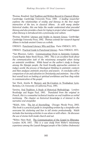Thomas, Rosalind. Oral Tradition and Written Record in Classical Athens*.*  Cambridge: Cambridge University Press, 1989. *A leading researcher explores the relationships of orality and literacy in the first major interaction of the two, in classical Athens. As with many similar historical studies, this one helps the reader understand what preceded literacy and also provides a basis for trying to project what could happen when literacy is introduced into a previously-oral culture.*

Thomas, Rosalind. Literacy and Orality in Ancient Greece*.* Cambridge: Cambridge University Press, 1992. *Thomas extends her research beyond Athens to include ancient Greece as a whole.*

UNESCO. Functional Literacy: Why and How*.* Paris: UNESCO, 1971.

UNESCO. Practical Guide to Functional Literacy. Paris: UNESCO, 1973.

\*Van Rheenen, Gailyn. Communicating Christ in Animistic Contexts*.* Grand Rapids: Baker Book House, 1991. *This is an excellent book about the communication task of the missionary evangelist when facing an animistic worldview. While based on the author's study in Kenya among the Kipsigis people, the book broadly approaches animism in today's world, the process of theological thinking in animistic contexts and then analyzes animistic practices and powers. It concludes with a comparison of sin and salvation in Christianity and animism. One of the best overall texts on looking at spiritual worldviews and how they relate to communication of the gospel.*

Van Vleck, Amelia B. Memory and Re-Creation in Troubadour Lyric*.*  Berkeley, CA: University of California Press, 1991.

Vansina, Oral Tradition: A Study of Historical Methodology*.* London: Routledge and Kegan Paul, 1961. *Translated from the original in French, this is a somewhat technical treatise on oral tradition as verbal testimony. The chapter on historical knowledge is of interest to the narrative oral storyteller.*

\*Walsh, John. The Art of Storytelling*.* Chicago: Moody Press, 2003. *This book is a practical guide to storytelling written by a storyteller who overcame his stuttering and fear to tell stories professionally. Walsh includes fine learning activities to use alone or with others. He discusses the use of stories both inside church and out.*

\*Weber, Hans Rudi. The Communication of the Gospel to Illiterates*.*  London: SCM, 1957. *This is a case study from Weber's missionary experience among the Luwuk-Banggai people of the Celebes (Indonesia)*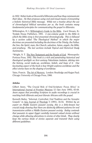*in 1952. Weber looks at the world of illiterates and how they communicate their ideas. He then proposes using oral and visual means of presenting a holistic historical Bible message. While not a treatise about the use of chronological biblical narratives per se, the book contains many fundamental principles for communicating the gospel to illiterates.*

Willmington, H. L Willmington's Guide to the Bible. Carol Stream, IL: Tyndale House Publishers, 1981. *A one-volume guide to the Bible in which the Bible story is first presented chronologically. This is followed by a section called "The Theological Method" in which the major doctrines are presented including the doctrines of the Trinity, the Father, the Son, the Spirit, man, the Church, salvation, Satan, angels, the Bible, and prophecy. The last sections include Topical and Historical Study Summaries.*

\*Wright, N. T. The New Testament and the People of God. Minneapolis: Fortress Press, 1992. *This book is a rich and penetrating historical and theological spotlight on first-century Palestinian Judaism, delving into the history, social make-up, worldview, beliefs, and hope of it. One fascinating aspect of the book is how Wright explores worldview and the effect stories have on the shaping of worldview.*

Yates, Francis. The Art of Memory. London: Routledge and Kegan Paul; Chicago: University of Chicago Press, 1966.

# Articles

Gilbert Ansre, "The Crucial Role of Oral-Scripture: Focus Africa" in International Journal of Frontier Missions 12 (Apr.-June 1995), 65-68. *Ansre argues that providing Scripture in audio recordings is crucial in reaching both illiterate and post-literate Africans with the gospel.*

Kenneth Bailey, "Informal, Controlled, Oral Tradition and the Synoptic Gospels" in Asia Journal of Theology 5 (1991), 34-54. *Written by an expert on Middle Eastern peasant society, this is a little-known but crucial study showing that there are distinctly different patterns for oral transmission within a Middle Eastern peasant society. Bailey contends that peasants in upper Egypt carefully transmit valued stories without change while allowing alterations to stories of other kinds. They clearly keep the various kinds of stories separate and transmit them using different guidelines.*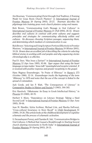Jim Bowman, "Communicating Christ through Oral Tradition: A Training Model for Grass Roots Church Planters" in International Journal of Frontier Missions 20 (Spring 2003), 25-27. *Bowman describes his pilgrimage into training grass roots church planters using oral means.*

Rick Brown, "Communicating God's Message in Oral Cultures" in International Journal of Frontier Missions 21 (Fall 2004), 26-32. *Brown describes oral cultures in contrast with print cultures and suggests principles and strategies for communicating effectively within oral cultures. He discusses choosing Scripture passages, sequencing them, and determining which medium of communication to use.* 

Rick Brown."Selecting and Using Scripture Portions Effectively in Frontier Missions," in International Journal of Frontier Missions 18 (Winter 2001), 10-24. *Brown does an excellent job of describing the criteria for selecting biblical stories in working with oral peoples and why sequencing stories chronologically is so effective.*

Paul D. Dyer, "Was Jesus a Zairian?" in International Journal of Frontier Missions 12 (Apr.-June 1995), 83-86. *Dyer argues that using the heart language on tape makes "Jesus talk" meaningful and receptor oriented. It is received with positive response and greater receptivity to the gospel.*

Hans Magnus Enzensberger, "In Praise of Illiteracy" in Harper's 273 (October 1986), 12-14. *Enzensberger tracks the beginning of the term "illiteracy" to 1876 and notes that the use of the concept is linked to the spread of colonialism.*

Jack Goody, and Ian P. Watt, *"*The Consequences of Literacy*"* in Comparative Studies in History and Society 5 (1963), 304-345.

Eric Havelock, "*Dikaiosune:* An Essay in Greek Intellectual History*,*" in Phoenix 23 (1969), 49-70.

Herbert V. Klem, "Dependence on Literacy Strategy: Taking a Hard Second Look" in International Journal of Frontier Missions 12 (Apr.-June 1995), 59-64.

Jean M. Mandler, Sylvia Scribner, Michael Cole, and Marsha DeForest, "Cross-cultural Invariance in Story Recall" in Child Development 51 (1980), 19-26. *This article looks at the childhood development of cognitive schemata and the process of schematic activation.*

S. Devasahayam Ponraj, and Chandan K. Sah, "Communication Bridges to Oral Cultures: A Method that Caused a Breakthrough in Starting Several church planting movements in North India" in International Journal of Frontier Missions 20 (Spring 2003), 28-31.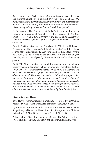Sylvia Scribner and Michael Cole, "Cognitive Consequences of Formal and Informal Education," in Science 9 (November 1973), 553-559. *The authors discuss the different goals of formal (literate) and informal (nonliterate) education, noting that non-literate children are sometimes labeled as cognitively deficient when no true deficiency exists.*

Viggo Søgaard, "The Emergence of Audio-Scriptures in Church and Mission" in International Journal of Frontier Missions 12 (Apr.-June 1995), 71-75. *A long-time advocate of the use of audio cassettes in Christian ministry explains why that is important and how it is having an impact.*

Tom A. Steffen, "Storying the Storybook to Tribals: A Philippines Perspective of the Chronological Teaching Model," in International Journal of Frontier Missions 12 (Apr.-June 1995), 99-105. *Steffen reports on a survey he did to evaluate the effectiveness of the Chronological Teaching method, developed by Trevor McIlwain and used by many groups.* 

Paul C. Vitz, "The Use of Stories in Moral Development: New Psychological Reasons for an Old Education Method," in American Psychologist 45 (June 1990), 709-720. *Contemporary approaches to moral development and moral education emphasize propositional thinking and verbal discussion of abstract moral dilemmas. In contrast, this article proposes that narratives (stories) are a central factor in a person's moral development. Vitz proposes that narratives and narrative thinking are especially involved in how these processes lead to moral development and therefore that narrative should be rehabilitated as a valuable part of moral education. He includes an extensive bibliography from his discipline.*

#### Dissertations and Theses

Box, Harry. "Communicating Christianity to Oral, Event-Oriented People." D. Miss., Fuller Theological Seminary, Pasadena, CA, 1992.

Dyer, Paul D. "The Use of Oral Communication Methods (Storytelling, Song/Music, and Drama) in Health Education, Evangelism, and Christian Maturation." D. Min., Bethel Seminary, St. Paul, MN, 1994.

Wilson, John D. "Scripture in an Oral Culture: The Yali of Irian Jaya." Th.M., Faculty of Divinity, University of Edinburgh, Edinburgh, 1988.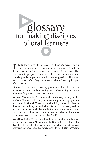

THESE terms and definitions have been gathered from a variety of sources. This is not an exhaustive list and the definitions are not necessarily universally agreed upon. This is a work in progress. Some definitions will be revised after knowledgeable people continue to make suggestions. The terms below are part of the larger discussion about "making disciples of oral learners."

aliteracy A lack of interest in or enjoyment of reading; characteristic of people who are capable of reading with understanding but do not often read for pleasure. See 'post-literate'.

**barriers** The aspects of a culture, circumstances, or religion that hinder a listener in hearing, understanding, or acting upon the message of the Gospel. These are the 'stumbling blocks'. Barriers are discerned by studying the worldview. Barriers are beliefs, practices, or experiences that might keep unbelievers from understanding or accepting spiritual truths. Prior experiences, such as with nominal Christians, may also pose barriers. See 'bridges'.

**basic Bible truths** Those biblical truths which are the foundation or essence of truth leading to salvation, the New Testament Church, the discipled life and Christian leadership. The actual body of truths as expressed may vary somewhat for each worldview situation according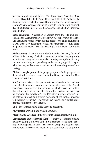to prior knowledge and belief. The three terms 'essential Bible Truths', 'Basic Bible Truths' and 'Universal Bible Truths' all describe the generic or basic truths needed for one of the core objectives such as evangelism, congregationalizing a people (or planting a church), discipling, leader training, etc. See 'essential Bible truths', 'universal Bible truths'.

Bible panorama A selection of stories from the Old and New Testaments. A panorama gives a relatively fast opportunity to tell the Old Testament stories, which provide background and a foundation, as well as the New Testament stories. Alternate term for 'mini Bible' or 'panoramic Bible'. See 'fast-tracking', 'mini Bible, 'panoramic Bible'.

**Bible storying** A generic term which includes the many forms of telling Bible stories, of which Chronological Bible Storying is the main format. Single stories related to ministry needs, thematic story clusters in teaching and preaching, and even storying which begins with the story of Jesus are sometimes used, according to need and strategy.

Bibleless people group A language group or ethnic group which does not yet possess a translation of the Bible, especially the New Testament scriptures.

**bridges** The beliefs, practices, or experiences of a culture that can have a beneficial influence upon a person's consideration of the gospel. God-given opportunities for witness, in which needs felt within the culture are met by the Christian faith. Bridges are discerned by studying the 'worldview'. Bridges often provide openings for heightened interest and greater relevancy of the biblical message to a person's worldview. The storyer can intentionally target issues deemed significant to the listener.

CBS See 'Chronological Bible Storying' (acronym)

chirographic Pertaining to a writing culture.

chronological Arranged in the order that things happened in time.

Chronological Bible Storying (CBS) A method of sharing biblical truths by telling the stories of the Bible as intact stories in the order that they happened in time. The person using this method leads the hearers to discover the truths in the stories for the purpose of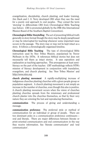evangelization, discipleship, church planting, and leader training. Jim Slack and J. O. Terry developed CBS when they saw the need for a purely oral approach to oral peoples. They coined the term 'storying' to differentiate CBS from Chronological Bible Teaching (see below). CBS is promoted globally by the IMB (the International Mission Board of the Southern Baptist Convention).

Chronological Bible Storytelling The act of presenting biblical truth generally in story format though the story may be deeply paraphrased or may be interrupted for teaching whenever some important issue occurs in the passage. The story may or may not be kept intact as a story. It follows a chronologically organized timeline.

Chronological Bible Teaching The type of chronological Bible instruction used by New Tribes Mission, popularized by Trevor McIlwain in the 1970s. It references biblical stories but does not necessarily tell them as intact stories. It uses exposition and explanation as teaching approaches. This presupposes at least semiliteracy on the part of the teacher. CBT methodology reflects NTM's mission of literacy development in conjunction with translation, evangelism, and church planting. See 'New Tribes Mission' and http://www.ntm.org.

church planting movement A rapidly-multiplying increase of indigenous churches planting churches with a given people group or population segment. A church planting movement is not simply an increase in the number of churches, even though this also is positive. A church planting movement occurs when the vision of churches planting churches spreads from the missionary and professional church planter into the churches themselves, so that by their very nature they are winning the lost and reproducing themselves.

communication The process of giving and understanding a message.

communication preference The preferred style or method of communication for an individual or group of people. There are two dominant poles in a communication preference continuum oral and literate. There are major differences between literate or print-oriented communicators and oral communicators in the way they receive information. See 'literate communicator' and 'oral communicator'.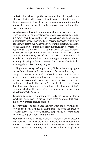context ...the whole cognitive environment of the speaker and addressee: their worldview(s), their culture(s), the situation in which they are communicating, their conventions of communication, the immediate context of what they have already said, and any other shared information.

core story, core story list Core stories are those biblical stories which are so essential to the biblical message and/or so consistently relevant in a variety of cultures that they have been chosen again and again as missionaries put together worldview-specific story sets. A core story list, then, is descriptive rather than prescriptive; it acknowledges the stories that have been used most often in evangelism story sets. It is not intended as a 'universal' list that must always be used, but rather it provides an opportunity to see what other storyers have done. (Initially, the core story list reflected the basic list of stories which included and taught the basic truths leading to evangelism, church planting, discipling, or leader training. The most popular list is that for evangelism.) See 'training story set'.

crafting a story, story crafting Crafting Bible stories is shaping the stories from a literature format to an oral format and making such changes as needed to maintain a clear focus on the story's main point(s), to give clarity in telling, and to make necessary changes needed for accommodating certain worldview issues and story continuity leading to the storying track objective of evangelism, discipling, leader training, etc. "Crafting Bible Stories for Telling", an unpublished booklet by J. O. Terry, is available in e-format from: biblestorying@sbcglobal.net

discovery question A question that leads the people to draw a conclusion and discover a biblical truth based on events that occur in a story. Compare 'factual question'.

discovery time The period after the story when the storyer fixes the story in the people's minds by asking someone from the group to retell the story. The storyer then leads the people to discover biblical truths by asking questions about the story.

door opener A kind of 'bridge' involving differences which appeal to the audience. Door openers appeal to people and encourage them to open their hearts and minds to hear the message. For example, Joseph forgave his brothers; this is a new value to people who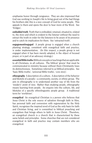emphasize honor through vengeance. They are also impressed that God was working in Joseph's life to bring good out of the bad things his brothers did; this is a new concept of God for some people. This appeals to them and opens the door to hear more of the Word. See 'bridges'.

embedded truth Truth that is embedded, retained, situated in, related to, the story and which is evident to the listener without the need to extract the truth in order for the listeners to be aware of its presence and to catch its implication for them. See 'extracted truth'.

engagement/engaged A people group is engaged when a church planting strategy, consistent with evangelical faith and practice, is under implementation. (In this respect, a people group is not engaged when it has been merely adopted, is the object of focused prayer, or is part of an advocacy strategy.)

essential Bible truths Biblical concepts or teachings that are applicable to all Christians, in all cultures. The biblical 'givens' that must be communicated in ministry because without them Christianity loses its distinctiveness. Sometimes referred to as biblical principles. See 'basic Bible truths', 'universal Bible truths', 'core story'.

ethnography A description of a culture. A description of the behavior and lifestyle of a people—a community, society, or ethnic group. The aim in ethnography is to understand another way of life from the 'insider's' point of view. Rather than studying people, ethnography means learning from people. An enquiry into the culture, life, and lifestyles of a specific ethnolinguistic people group. A traditional term for 'worldview'.

evangelical An evangelical Christian is a person who believes that Jesus Christ is the sole source of salvation through faith in Him, has personal faith and conversion with regeneration by the Holy Spirit, recognizes the inspired word of God as the only basis for faith and Christian living, and is committed to biblical preaching and evangelism that brings others to faith in Jesus Christ. Therefore, an evangelical church is a church that is characterized by these same beliefs and principles. Some churches that are not considered evangelical in faith and practice may contain members who are evangelical.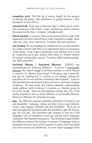**evangelism track** The first set of stories, taught for the purpose of sharing the gospel with unbelievers or giving believers a firm foundation in God's Word.

extracted truth Truth that is extracted, that is, drawn out of a story and presented as a list of facts, issues, propositions which comprise the essence of the story. Compare 'embedded truth'.

factual question A question that can be answered from events that happened in the story without much, if any, interpretive insight. Deals with who, what, when, and where. Compare 'discovery question'.

fast-tracking The act of telling many biblical stories one after another at a single occasion with little or no opportunity given for discussion of the stories. Used to give a panorama of the biblical story, to test for receptivity, and to give witness when there is a limited window for contact, among other reasons. Formerly called 'mainstreaming'. See 'Bible panorama'.

functional illiterate / (functional illiteracy) UNESCO has recommended the following definition: "A person is functionally illiterate who cannot engage in all those activities in which literacy is required for effective functioning of his group and community and also for enabling him to continue to use reading, writing and calculation for his own and the community's development." A person who has had some education but does not meet a minimum standard of literacy. To read poorly and without adequate understanding. Lacks sufficient skills in literacy to function as a literate person in his or her society. Some say that statistics indicate that 70% of the world's population who are either illiterate or functionally illiterate. Please see 'illiterate' for comment on usage.

gaps The difference between potential availability of Scripture and real availability. Language, culture and other barriers and obstacles create a gap between potential and real availability. There are at least four gaps: the translation gap; the distribution gap; the literacy gap; the oral gap. The translation gap includes at least the 2,700 languages with no translation in process and the many languages waiting for Old Testament translation. The distribution gap includes the difference between the number of speakers of languages where a translation has been done and the number of copies of the text which have been printed and distributed. In some major languages there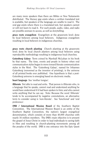are many more speakers than there are Bibles or New Testaments distributed. The literacy gap exists where a written translated text is available, but speakers of the language are unable to read it. The oral gap exists where there is a translated text, but speakers cannot or will not learn to read it. For such people, audio, video, and radio are possible avenues to access, as well as storytelling.

grass roots evangelism Evangelism at the grassroots level; done by local believers among local believers. Indigenous evangelism resulting in local believers in indigenous churches.

grass roots church planting Church planting at the grassroots level; done by local church planters among local believers using reproducible methodology resulting in indigenous local churches.

Gutenberg Galaxy Term coined by Marshall McLuhan in his book by that name. The time, events and people in history when oral communication styles began to move toward literate communication styles in the West. The 'Gutenberg Galaxy', named for Johannes Gutenberg (renowned as the inventor of printing), is the universe of all printed books ever published. One hypothesis is that a post-Gutenberg universe is emerging based on electronic media.

heart language See 'mother tongue'.

illiterate Not able to read and write. That person is illiterate who, in a language that he speaks, cannot read and understand anything he would have understood if it had been spoken to him; and who cannot write anything that he can say. Note: Because the word 'illiterate' tends to be accompanied by negative connotations, an alternative term to consider using is 'non-literate'. See 'functional' and 'oral preference'.

IMB / International Mission Board of the Southern Baptist Convention. The International Mission Board is an entity of the Southern Baptist Convention, the nation's largest evangelical denomination, which consists of more than 40,000 churches with nearly 16 million members. The IMB's main objective is to present the gospel of Jesus Christ in order to lead individuals to saving faith in Him and resulting in church-planting movements among all the peoples of the world. IMB is one entrance into the Epic Quest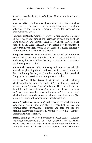program. Specifically, see http://imb.org. More generally, see http:// www.sbc.net/.

intact narrative Uninterrupted story which is presented as a whole except for a possible aside or two in the story explaining something unfamiliar to the listeners. Compare 'interrupted narrative' and 'interpreted narrative'.

International Orality Network A network of organizations which are all interested in proclaiming the Scriptures through oral methods. Some members are: Campus Crusade for Christ, DAWN, FCBH, Feba Radio, GRN, IMB, the JESUS Film Project, New Tribes Mission, Scriptures In Use, Trans World Radio, Vernacular Media Services of JAARS, Wycliffe International, and YWAM.

interpreted narrative The story which is explained, or interpreted, without telling the story. It is talking about the story, telling what is in the story, but never telling the story. Compare 'intact narrative' and 'interrupted narrative'.

interrupted narrative Telling the story and stopping, periodically, to teach, emphasizing themes and issues which occur in the story, then continuing the story until another teaching point is reached. Compare 'intact narrative' and 'interpreted narrative'.

key terms / key biblical terms A set of basic biblical vocabulary which includes the words for 'God', 'sin', 'punishment', 'sacrifice', 'reconciliation', 'promise', 'Savior' and more. There are not words for these biblical terms in all languages, or there may be words in some languages which could be used but which might carry meanings which will not accurately convey the biblical sense. Determining key terms is an important component of Bible translation.

learning preference A learning preference is the most common, comfortable and natural way that an individual receives and communicates information. Literate and oral are the two learning preferences discussed in relation to storying. Compare 'communication preference'.

linking Linking provides connectedness between stories. Carefully spanning time (spacers) and generations (place markers) so that the people know that events happened, but do not have the full details, so that the emotional investment in characters is not lost and the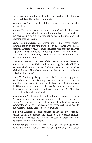storyer can return to that spot in the future and provide additional stories to fill out the biblical chronology.

**listening task** A fact or truth that the storyer asks the people to listen for in a story.

literate That person is literate who, in a language that he speaks, can read and understand anything he would have understood if it had been spoken to him; and who can write, so that it can be read, anything that he can say.

literate communicator One whose preferred or most effective communication or learning method is in accordance with literate formats. Literate format or style expresses itself through analytic, sequential, linear, and logical thought patterns. Most missionaries are literate communicators, trying to reach oral communicators. See 'oral communicator'.

Lives of the Prophets and Lives of the Apostles A series of booklets prepared for use in the '10/40 Window' consisting of translated biblical passages which present stories of biblical characters and introduce biblical themes. These have been dramatized for audio media and radio broadcast as well.

Lomé 'Y' The Y-shaped diagram which depicts the planning process by which a storyer selects and prepares a set of stories for use in ministry, while keeping in mind the dual concerns of faithfulness to the Bible and meaningfulness to the specific worldview. Named after the place where this was first developed: Lomé, Togo. See 'Ten Step Process' for a later planning model.

mainstreaming Storying the Bible without discussion. Used to give an overview or when presentation time is limited. The storyer simply goes from story to story with appropriate linking and bridging comments and stories. More recently this term has been replaced by 'fast-tracking' in IMB usage. See 'fast-tracking'.

mini-Bible A selection of portions from the Old and New Testaments chosen to fit the context and needs of the receptor-language community. Analogous to 'story set' or 'storying track' and 'Bible panorama' or 'panoramic Bible'.

mother tongue A person's first language; the language of the hearth and home; a person's heart language; the language a person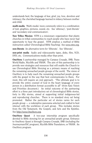understands best; the language of fear, grief, joy, love, devotion and intimacy; the cherished language learned in infancy between mother and child.

multi-media 'Multi-media' more commonly refers to a combination of text, graphics, pictures, sound, etc. See 'aliteracy', 'post-literate' and 'secondary oral communicators'.

New Tribes Mission NTM is a missionary organization that plants churches in tribal communities to reach people who have never had opportunity to hear the gospel. NTM employs a method of Bible instruction called 'Chronological Bible Teaching'. See www.ntm.org.

non-literate An alternative term for 'illiterate'. See 'illiterate'.

non-print media Audio and videocassette tapes, disks, film, VCD, DVD, etc. Communications media other than print.

OneStory A partnership managed by Campus Crusade, IMB, Trans World Radio, Wycliffe and YWAM. The aim of this partnership is to provide new strategies and resources that will enable the Church to use Chronological Bible Storying as a primary means of reaching the remaining unreached people groups of the world. The vision of OneStory is to help reach the remaining unreached people groups with the gospel in the way that best communicates to them. For most, this will require an oral approach. "The ultimate goal is to provide the entire counsel of God in the heart language of every person in a distribution format accessible to all" (from Epic Vision and Priorities document.) An initial outcome of the partnering effort is a three part introductory set of chronological Bible stories, forty to fifty stories, aimed at supporting initial indigenous-led and reproducing churches. There is no standard story set being promoted. Rather the particular set of stories varies for each people group — a redemptive panorama selected and crafted to best interact with the worldview of each group. This includes stories from the Old Testament, the Gospels, and Acts and the Epistles. See http://www.OneStory.org.

**OneStory Quest** A two-year internship program specifically devoted to Bible storying for an unreached people group. Entrance to OneStory Quest is through Campus Crusade, IMB (including the Journeyman/ISC program), Wycliffe Bible Translators, or YWAM. An OneStory program.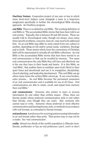**OneStory Venture** Cooperative project of one year or less in which some short-term helpers come alongside a team in a long-term assignment specifically to further the chronological Bible storying approach. An OneStory program.

oral Bible There is no definitive oral Bible. The working definition of oral Bible is: 'The accumulated Bible stories that have been told to an oral society.' Typically, this is between 50 and 225 stories. These are usually told in chronological order, though not always, since many times specific problems, concerns, fears etc. may need to be addressed first. So an oral Bible may differ to some extent from one culture to another, depending on felt and/or actual needs, worldview, theology and so forth. Those stories which form the cornerstone of Christian faith will be represented in virtually all oral Bible collections. An oral Bible is the accumulated Bible stories that have been storied to an oral communicator or that can be recalled by memory. "For many oral communicators the only Bible they will have and effectively use is the one they have in their heads and hearts. It is this Bible, an 'oral Bible', that enables them to meditate upon God's Word in their quiet times and devotionals and use it in evangelism, discipleship, church planting, and leadership development. This oral Bible can go where many times the written Bible cannot go. It can cross borders, enter prisons... An oral Bible becomes the permanent possession of an oral communicator and is available for use at all times. Oral communicators are able to retain, recall, and repeat from memory their oral Bible."

oral communicator Someone who prefers to learn or process information by oral rather than written means. (Thus, there are literate people whose preferred communication style is oral rather than literate, even though they can read.) Also, someone who cannot read or write. Someone whose preferred or most effective communication and learning format, style, or method is in accordance with oral formats, as contrasted to literate formats.

oral preference A preference for receiving and processing information in an oral format rather than print. That person may or may not be a reader. See 'oral communicator'.

orality Almost two-thirds of the world's population is illiterate (nonliterate, preliterate) or has an oral preference (can't, won't or don't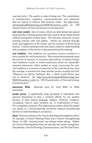read and write.) The quality or state of being oral. The constellation of characteristics (cognitive, communicational, and relational) that are typical of cultures that function orally. See http://www. chronologicalbiblestorying.com/MANUAL/section\_x.htm for "109 Characteristics of Oral and Literate Communicators".

oral story models Sets of stories which are determined and agreed upon during a training session and later used by those being trained without having been written down. The outcome, primarily, of story training sessions with oral leaders. Stories are selected through study and suggestion of the trainer and the intuition of those being trained. Critical teaching truths and issues related to understanding and acceptance of the stories is discussed during the training.

oral tradition Oral traditions are unwritten sources couched in a form suitable for oral transmission. Their preservation depends upon the powers of memory of successive generations of human beings. Oral traditions consist of verbal testimonies which are repeatedlyreported statements, either spoken or sung, concerning the past. Oral tradition is a memory of memories in the most literal way, since the message is learned from what another person recalled and told. "Whenever an African bushman dies, a whole [oral] library goes out of existence." See http://www.chronologicalbiblestorying.com/ MANUAL/section\_x.htm for "109 Characteristics of Oral and Literate Communicators".

panoramic Bible Alternate term for 'mini Bible' or 'Bible panorama'.

people group A significantly large grouping of individuals who perceive themselves to have a common affinity for one another because of their shared language, religion, ethnicity, residence, occupation, class or caste, situation, etc. or combinations of these. For evangelistic purposes: The largest group within which the gospel can spread as a church-planting movement without encountering barriers of understanding or acceptance.

phase There are phases in the church-planting and evangelism effort, for example, a Church Planting Phase and a Church Strengthening Phase. In CBS, 'storying tracks' are utilized within phases. Within the Church Planting phase there are typically five tracks: Evangelism, Discipleship, Church Planting, Characterization, and The End Times.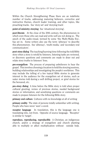Within the Church Strengthening Phase there are an indefinite number of tracks, addressing maturing believers, corrective and instructive themes, church leader training, and other topics, like preaching tracks. See 'story set' and 'storying track'.

point-of-ministry storying See 'situational storying'.

post-literate At the close of the 20th century, the phenomenon in which even those who can read and write well are not doing so. The epoch of the audio-visual, termed by some 'the Multi-Media Era', has set in. Some writers also use the term 'aliteracy' to describe this phenomenon. See 'aliteracy', 'multi media,' and 'secondary oral communicators'.

post-story dialog The teaching/learning time following the told Bible story when a story is retold by listeners, listening tasks are reviewed, or discovery questions and comments are made to draw out and relate story truths to listeners' lives.

pre-evangelism The process of preparing unbelievers to hear the gospel. This involves choosing a location to hold the storying sessions, building relationships and investigating the people's worldview. This may include the telling of a few topical Bible stories to generate interest in the audience for the evangelism set of stories, such as water stories told during a well drilling project, or grief stories for the bereaved, etc.

pre-story dialog A time before the Bible story is told when proper cultural greeting, review of previous stories, needed background stories or information, and sensitizing questions or comments are made to prepare listeners for the following Bible story.

primary oral culture Cultures with no knowledge at all of writing

**primary orality** The state of persons totally unfamiliar with writing. People who have never 'seen' a word.

receptor language In translation, this is the language one is translating into, not from. Opposite of source language. 'Receptor' is similar to 'target'.

reproduce, reproducing, reproducible A Christian, an indigenous church, and/or a strategy of evangelism and church planting able to multiply or affect multiplication without outside help.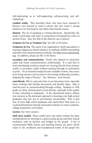Self-replicating, as in 'self-supporting, self-governing, and selfreplicating.'

residual orality This describes those who have been exposed to literacy, even learned to read in school, but who retain a strong preference for learning by oral rather than literate means.

rhetoric The art of speaking or writing effectively. Specifically, the study of principles and rules of composition formulated by critics of ancient times. Also, the skill of the effective use of speech.

Scripture In Use or Scripture Use See SIU or SU below.

Scriptures In Use The name of an organization which specializes in training indigenous church planters in methods of Bible storytelling and other oral communications methods. See http://www.siutraining. org. In addition, please see SIU or SU below.

secondary oral communicators People who depend on electronic audio and visual communications (multimedia). It is said that in some developing countries people are moving directly from primary orality to secondary orality without passing through an orientation to print. "So as nonprint media become available to them, they move from being primary oral societies to becoming multimedia societies, skipping the stage of literacy." See 'aliteracy', 'post-literate'.

semi-literate Able to read and write on an elementary level, especially when working with familiar documents and familiar ideas. Able to read but poor in communicating through writing. Students in 10th grade are often characterized as semi-literate, especially if the quality of their schooling is inadequate. If the educational system utilizes rote memory as the dominant approach to learning, even high school graduates may test out at semi-literate functionality. This is also true of some high school graduates who spend their final years in a vocational/technical training curriculum instead of a more academic, college preparatory curriculum.

session See 'story session'.

shell story models Those model story sets which outline the basic considerations for storying to a given people group and their typical worldview with its barriers and bridges to the gospel. A list of recommended Bible stories and teaching themes are given which relate to the worldview and foundational truths of the gospel the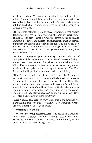people need to hear. The stories are not fleshed out in their entirety but are given only in a listing or outline with a scripture reference base and possibly a list of the teaching points. The user must complete or fill up the shell in his preparation of the stories in the language to be used in storying.

SIL SIL International is a faith-based organization that studies, documents and assists in developing the world's lesser-known languages. Its staff shares a Christian commitment to service, academic excellence, and professional engagement through literacy, linguistics, translation, and other disciplines. One aim of SIL is to provide access to the Scriptures in the language and format (media) that best serves the people. SIL is an organization related to Wycliffe. See http://www.sil.org .

situational storying or point-of-ministry storying The use of appropriate Bible stories (often those of Jesus' ministry) during a ministry need or opportunity. The primary reason is to lift up Jesus, followed by an invitation to hear more stories. Other story themes may be used appropriate to the ministry activity, such as The Water Stories or The Hope Stories, for disaster relief and ministry.

SIU or SU Acronym for 'Scripture in Use'. Generally, 'Scripture in use' or 'Scripture use' refers to varied methods to get the translated Scriptures into use in people's lives other than literacy. These other methods include audio and videocassette recordings, indigenous music, Scripture-in-song and Bible Storying. (SIL has a Scripture Use Coordinator on a par with the Linguistic, Literacy, and Translation Coordinators.) In addition, please see 'Scripture In Use' above. (Note: SU is also the acronym for 'Scripture Union'.)

source / source language In translation, this is the language one is translating from, not into (for example, New Testament Greek.) Opposite of receptor or target language.

story crafting See 'crafting'.

story session/storying session/session The actual time when the storyer uses the storying method. During a session the storyer participates in opening conversation, reads from the Bible, tells the story, and leads discovery (dialog) time.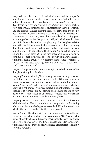#### *Making Disciples Of Oral Learners*

story set A collection of biblical stories selected for a specific ministry purpose and usually arranged in chronological order. In an initial CBS strategy, this typically consists of an evangelism story set, discipleship story set, and church-planting story set. The evangelism story set normally contains a series of stories from the Old Testament and the gospels. Church planting story sets draw from the book of Acts. Many evangelism story sets have included 20 to 25 stories that are common to most story sets; this is considered a starting point for adding other stories that present 'bridges' and address 'barriers' specific to the worldview of each people group. The first phase sets the foundation for future phases, including evangelism, church planting, discipleship, leadership development, audio-visual products, radio ministry, and Bible translation. The long-range plan is that someone among those participating in the first phase will catch a vision to continue a longer-term work to see the growth of mature churches within that people group. A story set is the list of crafted (or prepared) stories and suggested teaching/ learning activities that compose a track. See 'storying track'.

storyer The person who uses the storying method to evangelize, disciple or strengthen the church.

storying The term 'storying' is "an attempt to make a strong statement about the value of the intact, uninterrupted Bible narrative as a valuable means of teaching God's Word leading to salvation, church planting, discipling, leader training, and various ministry activities. Storying is not limited in purpose to teaching nonliterates. It is used because it is reproducible by listeners and because the use of story helps to overcome resistance or hostility to traditional Westernized teaching. See 'Chronological Bible Storying' (CBS).

storying matrix The web or structure of stories that follows the biblical timeline. This is the initial structure given in the first telling of stories or lessons which give an essential biblical framework into which other stories and later truths may be placed.

storying scarf The Storying Scarf is a cotton scarf designed to put an inexpensive set of durable pictures representing God's Word in the hands of people who could use it to independently share God's word where missionaries cannot go. It is designed to be used in conjunction with a series of 21 chronologically-arranged Bible stories. See http:// storyingscarf.com.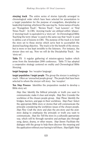storying track The entire series of stories typically arranged in chronological order which have been selected for presentation to a target population for the purpose of evangelism, discipleship or leadership training, whichever the case may be. Some names of tracks are "Evangelism Track", "Review Track", "Last Lessons", or "End Times Track". In CBS, 'storying tracks' are utilized within 'phases'. A 'storying track' is equivalent to a 'story set'. In Chronological Bible Teaching the term 'phase' is used in the same way that 'track' is used to define a set of lessons in CBS. The purpose of the track is to limit the story set to those stories which serve best to accomplish the desired teaching objective. The track is for the benefit of the storyer, but is more or less kept invisible to the listeners. For instance, the storyer does not say, 'Now we will do the Discipleship Track.' See 'story set'.

Table 71 A regular gathering of mission-agency leaders which arose from the Amsterdam 2000 conference. Table 71 has adopted a cooperative strategy centered on orality and Chronological Bible Storying.

target language See 'receptor language'.

target population / target people The group the storyer is seeking to reach. Often an 'unreached people group'. The people that have been selected to whom the storyer will story. See 'receptor'.

Ten Step Process Identifies the preparation needed to develop a Bible story set:

*Step One:* Identify the biblical principle or truth you want to communicate; make it clear and simple. *Step Two:* Consider the worldview of the chosen people group. *Step Three:* Identify the bridges, barriers, and gaps in their worldview. *Step Four:* Select the appropriate Bible story or stories that will communicate the principle considering the worldview issues of the chosen people. *Step Five:* Craft the story and plan the pre-story and the poststory dialog to emphasize the principle or truth you want to communicate. *Step Six:* Tell the story in a culturally appropriate way, which will be through narrative and perhaps also through song, dance, drama, or other means. *Step Seven:* Facilitate the dialogue with the group to help them discover the meaning and the application without your having to tell them. *Step Eight:* Help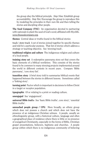the group obey the biblical principle. *Step Nine:* Establish group accountability. *Step Ten:* Encourage the group to reproduce this by modeling the principles in their own life and then telling the stories and discipling other people.

The Seed Company (TSC) An organization devoted to partnering with nationals to plant the seed of God's word; affiliated with Wycliffe. www.theseedcompany.org.

themes Central ideas or truths found in the biblical stories

**track** / **story track** A set of stories joined together by specific themes and told for a particular purpose. That list of stories which address a strategy or teaching objective. See 'storying track'.

traditional religion and culture The indigenous religion and culture of a local people.

training story set A redemptive panorama story set that covers the basic elements of a biblical worldview. This consists of the stories found to be common to many storying projects implemented around the world in different contexts in recent years. Compare 'Bible panorama', 'core story list'.

transition story A brief story told to summarize biblical events that happened between the stories in different lessons. Sometimes called a 'linking story'.

turning point Factor which is important in decisions to follow Christ in a target or receptor population.

typographic Of or relating to a print or reading culture.

unengaged See 'engagement'.

universal Bible trut**hs** See 'basic Bible truths', core story', 'essential Bible truths'.

unreached people group / UPG More broadly, an ethnic group which does not possess a church and which does not have the presence of an indigenous Christian witness. A people, usually an ethnolinguistic group, with a historical culture, language and often a geographical place of residence where there is little or no presence of evangelical Christianity, especially in the forms of Bible, Christian gospel presentations, believers, baptisms and churches. A people group within which there is no indigenous community of believing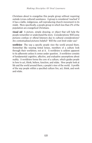Christians about to evangelize this people group without requiring outside (cross-cultural) assistance. A group is considered 'reached' if it has a viable, indigenous, self-reproducing church movement in its midst. More specifically, a people group in which less than 2% of the population are evangelical Christians.

visual aid A picture, simple drawing, or object that will help the people remember or understand the story. Considerations: Will some pictures confuse or offend listeners due to cultural considerations? Are contextualized pictures helpful? Will the cost limit wider use?

worldview The way a specific people view the world around them. Somewhat like wearing tinted lenses, members of a culture look through their worldview, not at it. A worldview is seldom apparent to its adherents unless it comes under question. A worldview consists of fundamental cognitive, affective, and evaluative assumptions about reality. A worldview forms the core of a culture, which guides people in how to act, think, believe, function, and relate. How people look at life and the world around them, a people's view of the world. A profile of the way people within a specified culture live, act, think, and work and relate.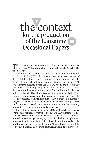# the context **for the production of the Lausanne Occasional Papers**

THE Lausanne Movement is an international movement committed to energising "the whole Church to take the whole gospel to the whole world"

With roots going back to the historical conferences in Edinburgh (1910) and Berlin (1966), the Lausanne Movement was born out of the First International Congress on World Evangelization called by evangelist Billy Graham held in Lausanne, Switzerland, in July 1974. The landmark outcome of this Congress was the *Lausanne Covenant* supported by the 2430 participants from 150 nations. The covenant declares the substance of the Christian faith as historically declared in the creeds and adds a clear missional dimension to our faith. Many activities have emerged from the Lausanne Congress and from the second congress held in Manila in 1989. The Covenant (in a number of languages) and details about the many regional events and specialised conferences which have been undertaken in the name of Lausanne may be examined on the website at www.lausanne.org.

The continuing Lausanne International Committee believed it was led by the Holy Spirit to hold another conference which would bring together Christian leaders from around the world. This time the Committee planned to have younger emerging leaders involved and sought funds to enable it to bring a significant contingent from those parts of the world where the church is rapidly growing today. It decided to call the conference a Forum**.** As a Forum its structure would be to allow people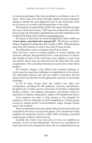to come and participate if they had something to contribute to one of 31 issues. These issues were chosen through a global research programme seeking to identify the most significant issues in the world today which are of concern in our task to take the *good news* to the world.

This Lausanne Occasional Paper (LOP) is the report which has emerged from one of these Issue Groups. LOPs have been produced for each of the Issue Groups and information regarding these and other publications may be obtained by going to the website at www.lausanne.org.

The theme of the Forum for World Evangelization held in 2004 was "A new vision, a new heart and a renewed call"**.** This Forum was held in Pattaya, Thailand from September 29 to October 5, 2004. 1530 participants came from 130 countries to work in one of the 31 Issue Groups.

The Affirmations at the conclusion of the Forum stated:

There has been a spirit of working together in serious dialogue and prayerful reflection. Representatives from a wide spectrum of cultures and virtually all parts of the world have come together to learn from one another and to seek new direction from the Holy Spirit for world evangelization. They committed themselves to joint action under divine guidance.

The dramatic change in the political and economic landscape in recent years has raised new challenges in evangelization for the church. The polarization between east and west makes it imperative that the church seek God's direction for the appropriate responses to the present challenges.

In the 31 Issue Groups these new realities were taken into consideration, including the HIV pandemic, terrorism, globalization, the global role of media, poverty, persecution of Christians, fragmented families, political and religious nationalism, post-modern mind set, oppression of children, urbanization, neglect of the disabled and others.

Great progress was made in these groups as they grappled for solutions to the key challenges of world evangelization. As these groups focused on making specific recommendations, larger strategic themes came to the forefront.

There was affirmation that major efforts of the church must be directed toward those who have no access to the gospel. The commitment to help establish self sustaining churches within 6000 remaining unreached people groups remains a central priority.

Secondly, the words of our Lord call us to love our neighbour as ourselves. In this we have failed greatly. We renew our commitment to reach out in love and compassion to those who are marginalised because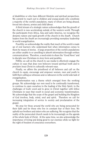of disabilities or who have different lifestyles and spiritual perspectives. We commit to reach out to children and young people who constitute a majority of the world's population, many of whom are being abused, forced into slavery, armies and child labour.

A third stream of a strategic nature acknowledges that the growth of the church is now accelerating outside of the western world. Through the participants from Africa, Asia and Latin America, we recognise the dynamic nature and rapid growth of the church in the *South*. Church leaders from the *South* are increasingly providing exemplary leadership in world evangelization.

Fourthly, we acknowledge the reality that much of the world is made up of oral learners who understand best when information comes to them by means of stories. A large proportion of the world's populations are either unable to or unwilling to absorb information through written communications. Therefore, a need exists to share the "Good News" and to disciple new Christians in story form and parables.

Fifthly, we call on the church to use media to effectively engage the culture in ways that draw non believers toward spiritual truth and to proclaim Jesus Christ in culturally relevant ways.

Finally, we affirm the priesthood of all believers and call on the church to equip, encourage and empower women, men and youth to fulfil their calling as witnesses and co-labourers in the world wide task of evangelization.

Transformation was a theme which emerged from the working groups. We acknowledge our own need to be continually transformed, to continue to open ourselves to the leading of the Holy Spirit, to the challenges of God's word and to grow in Christ together with fellow Christians in ways that result in social and economic transformation. We acknowledge that the scope of the gospel and building the Kingdom of God involves, body, mind, soul and spirit. Therefore we call for increasing integration of service to society and proclamation of the gospel.

We pray for those around the world who are being persecuted for their faith and for those who live in constant fear of their lives. We uphold our brothers and sisters who are suffering. We recognize that the reality of the persecuted church needs to be increasingly on the agenda of the whole body of Christ. At the same time, we also acknowledge the importance of loving and doing good to our enemies while we fight for the right of freedom of conscience everywhere.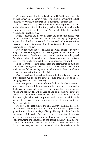We are deeply moved by the onslaught of the HIV/AIDS pandemic – the greatest human emergency in history. The Lausanne movement calls all churches everywhere to prayer and holistic response to this plague.

"9/11", the war in Iraq, the war on terror and its reprisals compel us to state that we must not allow the gospel or the Christian faith to be captive to any one geo-political entity. We affirm that the Christian faith is above all political entities.

We are concerned and mourn the death and destruction caused by all conflicts, terrorism and war. We call for Christians to pray for peace, to be proactively involved in reconciliation and avoid all attempts to turn any conflict into a religious war. Christian mission in this context lies in becoming peace makers.

We pray for peace and reconciliation and God's guidance in how to bring about peace through our work of evangelization. We pray for God to work in the affairs of nations to open doors of opportunity for the gospel. We call on the church to mobilize every believer to focus specific consistent prayer for the evangelization of their communities and the world.

In this Forum we have experienced the partnership of men and women working together. We call on the church around the world to work towards full partnership of men and women in the work of world evangelism by maximising the gifts of all.

We also recognize the need for greater intentionality in developing future leaders. We call on the church to find creative ways to release emerging leaders to serve effectively.

Numerous practical recommendations for local churches to consider were offered. These will be available on the Lausanne website and in the Lausanne Occasional Papers. It is our prayer that these many case studies and action plans will be used of God to mobilize the church to share a clear and relevant message using a variety of methods to reach the most neglected or resistant groups so that everyone will have the opportunity to hear the gospel message and be able to respond to this good news in faith.

We express our gratitude to the Thai Church which has hosted us and to their welcoming presentation to the Forum. We are profoundly grateful to God for the privilege of being able to gather here from the four corners of the earth. We have developed new partnerships, made new friends and encouraged one another in our various ministries. Notwithstanding the resistance to the gospel in many places and the richness of an inherited religious and cultural tradition we here at the Forum have accepted afresh the renewed call to be obedient to the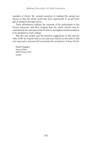mandate of Christ. We commit ourselves to making His saving love known so that the whole world may have opportunity to accept God's gift of salvation through Christ.

These affirmations indicate the response of the participants to the Forum outcomes and their longing that the whole church may be motivated by the outcomes of the Forum to strengthen its determination to be obedient to God's calling.

May the case studies and the practical suggestions in this and the other LOPs be of great help to you and your church as you seek to find new ways and a renewed call to proclaim the saving love of Jesus Christ

*David Claydon Series Editor 2004 Forum LOPs LCWE*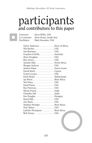*Making Disciples Of Oral Learners*

# participants **and contributors to this paper**

Convener: Avery Willis, USA Co-convener: Steve Evans, South Asia Facilitator: Mark Snowden, USA

Victor Anderson ............. Horn of Africa

| Victor Anderson Horn of Airica |
|--------------------------------|
| Nils Becker USA                |
| Jim BowmanUSA                  |
| Graydon Colville, Australia    |
| Steve Douglass USA             |
| Ron Green. USA                 |
| Annette Hall North Africa      |
| Morgan Jackson USA             |
| Andrew Kanu Sierra Leone       |
| Derek KnellCyprus              |
| Grant Lovejoy USA              |
| Durk Meijer Netherlands        |
| Jay MoonWest Africa            |
| Ted Olsen. USA                 |
| David Payne USA                |
| Roy Peterson. USA              |
| Sheila Ponraj India            |
| Chandan SahIndia               |
| Dee Douglas Hungary            |
| David SillsUSA                 |
| Jim Slack. USA                 |
| Stephen Stringer West Africa   |
| Tom Tatlow USA                 |
| LaNette ThompsonWest Africa    |
| Bob Varney USA                 |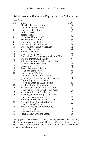### **List of Lausanne Occasional Papers from the 2004 Forum**

| <b>Issue Group</b> |                                                 |                    |
|--------------------|-------------------------------------------------|--------------------|
| $No$ .             | Topic                                           | LOP <sub>No.</sub> |
| 1.                 | Globalisation and the gospel                    | 30                 |
| 2.                 | The uniqueness of Christ                        | 31                 |
| 3.                 | The persecuted Church                           | 32                 |
| 4.                 | Holistic mission                                | 33                 |
| 5.                 | At risk people                                  | 34                 |
| 6.                 | Hidden and Forgotten People                     | 35                 |
| 7.                 | Non traditional families                        | 36                 |
| 8.                 | Transformation of cities                        | 37                 |
| 9.                 | Partnership and collaboration                   | 38                 |
| 10.                | The local church and evangelism                 | 39                 |
| 11.                | Market place ministry                           | 40                 |
| 12.                | Future leadership                               | 41                 |
| 13.                | Prayer in evangelism                            | 42                 |
| 14.                | The realities of changing expressions of Church | 43                 |
| 15.                | The two-thirds world church                     | 44                 |
| 16.                | Religious and non-religious spirituality        |                    |
|                    | in the post modern world                        | 45                 |
| 17.                | Redeeming the Arts                              | 46                 |
| 18.                | Evangelization of children                      | 47                 |
| 19.                | Media and technology                            | 48                 |
| 20.                | <b>Understanding Muslims</b>                    | 49                 |
| 21.                | The impact on global mission of                 |                    |
|                    | religious nationalism and 9/11 realities        | 50                 |
| 22.                | Confronting racial conflict and                 |                    |
|                    | seeking Christian reconciliation                | 51                 |
| 23.                | Reaching the youth generation                   | 52                 |
| 24.                | Empowering women and men to utilize             |                    |
|                    | their gifts for the spread of the gospel        | 53                 |
| 25.                | Making disciples of Oral Learners               | 54                 |
| 26.                | Reaching and mobilising the diaspora            |                    |
|                    | and international students                      | 55                 |
| 27.                | Funding for evangelism and mission              | 56                 |
| 28.                | Effective theological education for             |                    |
|                    | world evangelization                            | 57                 |
| 29.                | Bioethics: obstacle or opportunity              |                    |
|                    | for the gospel                                  | 58                 |
| 30.                | Business as mission                             | 59                 |
| 31.                | Reaching Jews with the gospel                   | 60                 |

These papers will be available as a Compendium published by William Carey Library. Online ordering at www.WCLBooks.com Your can download one or more of these LOPs for personal use and see other information on the Lausanne website at www.lausanne.org.